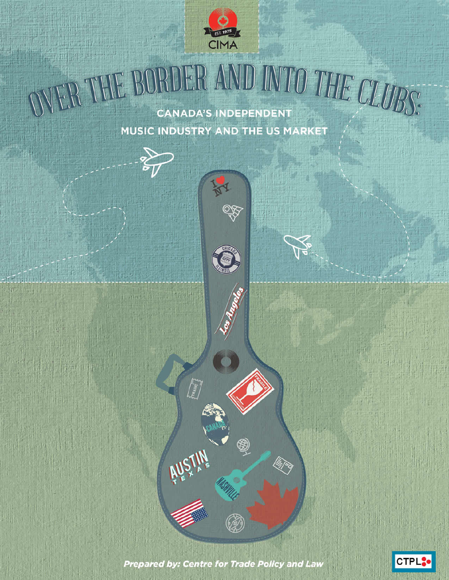

OVER THE BORDER AND INTO THE CLUBS: **CANADA'S INDEPENDENT** MUSIC INDUSTRY AND THE US MARKET

98



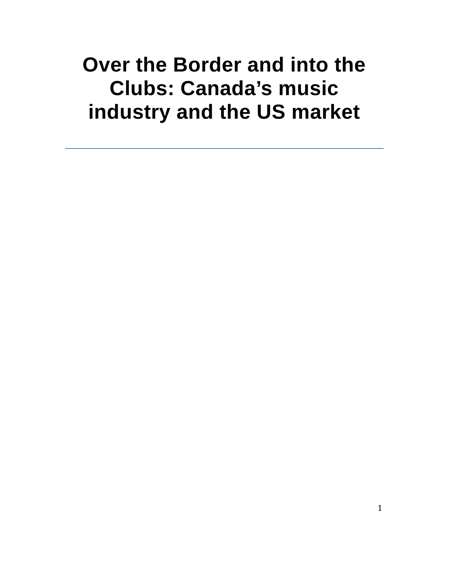# **Over the Border and into the Clubs: Canada's music industry and the US market**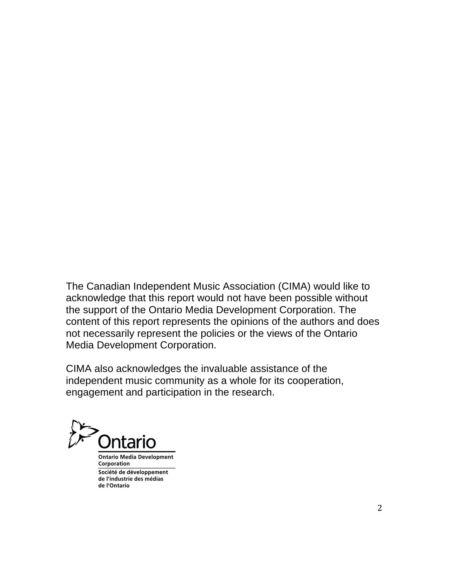The Canadian Independent Music Association (CIMA) would like to acknowledge that this report would not have been possible without the support of the Ontario Media Development Corporation. The content of this report represents the opinions of the authors and does not necessarily represent the policies or the views of the Ontario Media Development Corporation.

CIMA also acknowledges the invaluable assistance of the independent music community as a whole for its cooperation, engagement and participation in the research.

htario

**Ontario Media Development** Corporation Société de développement de l'industrie des médias de l'Ontario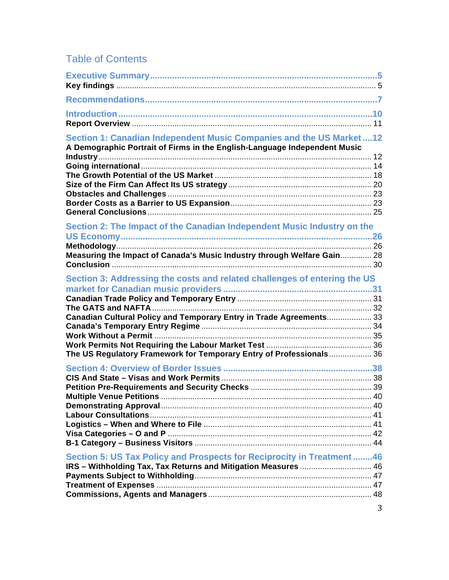# Table of Contents

| Section 1: Canadian Independent Music Companies and the US Market12<br>A Demographic Portrait of Firms in the English-Language Independent Music   |   |
|----------------------------------------------------------------------------------------------------------------------------------------------------|---|
| Section 2: The Impact of the Canadian Independent Music Industry on the<br>Measuring the Impact of Canada's Music Industry through Welfare Gain 28 |   |
| Section 3: Addressing the costs and related challenges of entering the US<br>Canadian Cultural Policy and Temporary Entry in Trade Agreements 33   |   |
| The US Regulatory Framework for Temporary Entry of Professionals 36                                                                                |   |
| Section 5: US Tax Policy and Prospects for Reciprocity in Treatment46<br>IRS - Withholding Tax, Tax Returns and Mitigation Measures  46            | 3 |
|                                                                                                                                                    |   |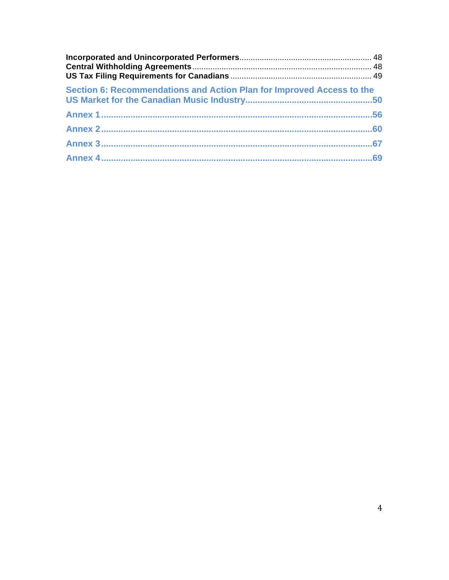| Section 6: Recommendations and Action Plan for Improved Access to the |  |
|-----------------------------------------------------------------------|--|
|                                                                       |  |
|                                                                       |  |
|                                                                       |  |
|                                                                       |  |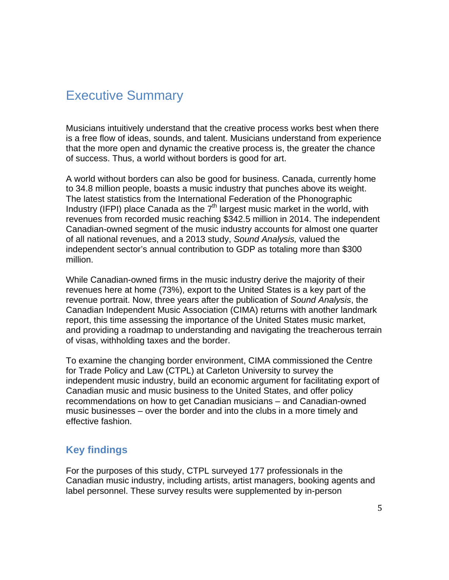# Executive Summary

Musicians intuitively understand that the creative process works best when there is a free flow of ideas, sounds, and talent. Musicians understand from experience that the more open and dynamic the creative process is, the greater the chance of success. Thus, a world without borders is good for art.

A world without borders can also be good for business. Canada, currently home to 34.8 million people, boasts a music industry that punches above its weight. The latest statistics from the International Federation of the Phonographic Industry (IFPI) place Canada as the  $7<sup>th</sup>$  largest music market in the world, with revenues from recorded music reaching \$342.5 million in 2014. The independent Canadian-owned segment of the music industry accounts for almost one quarter of all national revenues, and a 2013 study, *Sound Analysis,* valued the independent sector's annual contribution to GDP as totaling more than \$300 million.

While Canadian-owned firms in the music industry derive the majority of their revenues here at home (73%), export to the United States is a key part of the revenue portrait. Now, three years after the publication of *Sound Analysis*, the Canadian Independent Music Association (CIMA) returns with another landmark report, this time assessing the importance of the United States music market, and providing a roadmap to understanding and navigating the treacherous terrain of visas, withholding taxes and the border.

To examine the changing border environment, CIMA commissioned the Centre for Trade Policy and Law (CTPL) at Carleton University to survey the independent music industry, build an economic argument for facilitating export of Canadian music and music business to the United States, and offer policy recommendations on how to get Canadian musicians – and Canadian-owned music businesses – over the border and into the clubs in a more timely and effective fashion.

# **Key findings**

For the purposes of this study, CTPL surveyed 177 professionals in the Canadian music industry, including artists, artist managers, booking agents and label personnel. These survey results were supplemented by in-person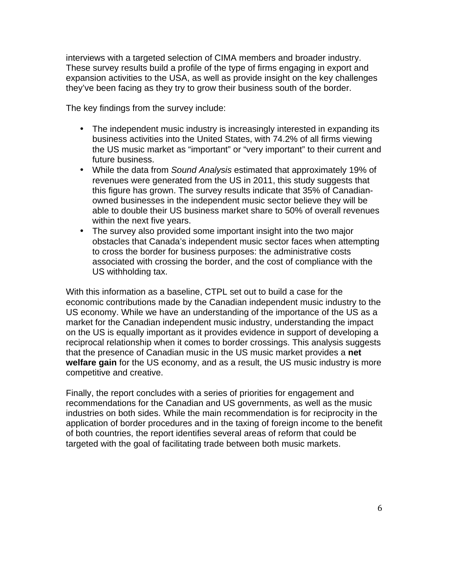interviews with a targeted selection of CIMA members and broader industry. These survey results build a profile of the type of firms engaging in export and expansion activities to the USA, as well as provide insight on the key challenges they've been facing as they try to grow their business south of the border.

The key findings from the survey include:

- The independent music industry is increasingly interested in expanding its business activities into the United States, with 74.2% of all firms viewing the US music market as "important" or "very important" to their current and future business.
- While the data from *Sound Analysis* estimated that approximately 19% of revenues were generated from the US in 2011, this study suggests that this figure has grown. The survey results indicate that 35% of Canadianowned businesses in the independent music sector believe they will be able to double their US business market share to 50% of overall revenues within the next five years.
- The survey also provided some important insight into the two major obstacles that Canada's independent music sector faces when attempting to cross the border for business purposes: the administrative costs associated with crossing the border, and the cost of compliance with the US withholding tax.

With this information as a baseline, CTPL set out to build a case for the economic contributions made by the Canadian independent music industry to the US economy. While we have an understanding of the importance of the US as a market for the Canadian independent music industry, understanding the impact on the US is equally important as it provides evidence in support of developing a reciprocal relationship when it comes to border crossings. This analysis suggests that the presence of Canadian music in the US music market provides a **net welfare gain** for the US economy, and as a result, the US music industry is more competitive and creative.

Finally, the report concludes with a series of priorities for engagement and recommendations for the Canadian and US governments, as well as the music industries on both sides. While the main recommendation is for reciprocity in the application of border procedures and in the taxing of foreign income to the benefit of both countries, the report identifies several areas of reform that could be targeted with the goal of facilitating trade between both music markets.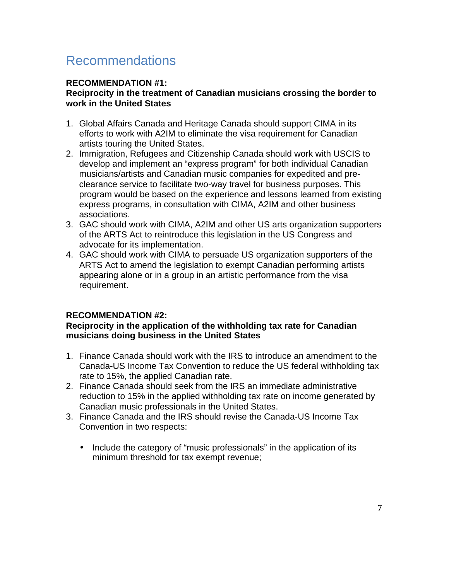# Recommendations

#### **RECOMMENDATION #1:**

#### **Reciprocity in the treatment of Canadian musicians crossing the border to work in the United States**

- 1. Global Affairs Canada and Heritage Canada should support CIMA in its efforts to work with A2IM to eliminate the visa requirement for Canadian artists touring the United States.
- 2. Immigration, Refugees and Citizenship Canada should work with USCIS to develop and implement an "express program" for both individual Canadian musicians/artists and Canadian music companies for expedited and preclearance service to facilitate two-way travel for business purposes. This program would be based on the experience and lessons learned from existing express programs, in consultation with CIMA, A2IM and other business associations.
- 3. GAC should work with CIMA, A2IM and other US arts organization supporters of the ARTS Act to reintroduce this legislation in the US Congress and advocate for its implementation.
- 4. GAC should work with CIMA to persuade US organization supporters of the ARTS Act to amend the legislation to exempt Canadian performing artists appearing alone or in a group in an artistic performance from the visa requirement.

#### **RECOMMENDATION #2:**

#### **Reciprocity in the application of the withholding tax rate for Canadian musicians doing business in the United States**

- 1. Finance Canada should work with the IRS to introduce an amendment to the Canada-US Income Tax Convention to reduce the US federal withholding tax rate to 15%, the applied Canadian rate.
- 2. Finance Canada should seek from the IRS an immediate administrative reduction to 15% in the applied withholding tax rate on income generated by Canadian music professionals in the United States.
- 3. Finance Canada and the IRS should revise the Canada-US Income Tax Convention in two respects:
	- Include the category of "music professionals" in the application of its minimum threshold for tax exempt revenue;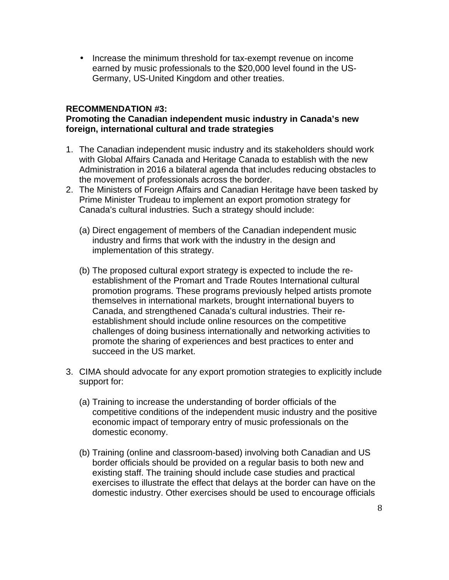• Increase the minimum threshold for tax-exempt revenue on income earned by music professionals to the \$20,000 level found in the US-Germany, US-United Kingdom and other treaties.

#### **RECOMMENDATION #3:**

#### **Promoting the Canadian independent music industry in Canada's new foreign, international cultural and trade strategies**

- 1. The Canadian independent music industry and its stakeholders should work with Global Affairs Canada and Heritage Canada to establish with the new Administration in 2016 a bilateral agenda that includes reducing obstacles to the movement of professionals across the border.
- 2. The Ministers of Foreign Affairs and Canadian Heritage have been tasked by Prime Minister Trudeau to implement an export promotion strategy for Canada's cultural industries. Such a strategy should include:
	- (a) Direct engagement of members of the Canadian independent music industry and firms that work with the industry in the design and implementation of this strategy.
	- (b) The proposed cultural export strategy is expected to include the reestablishment of the Promart and Trade Routes International cultural promotion programs. These programs previously helped artists promote themselves in international markets, brought international buyers to Canada, and strengthened Canada's cultural industries. Their reestablishment should include online resources on the competitive challenges of doing business internationally and networking activities to promote the sharing of experiences and best practices to enter and succeed in the US market.
- 3. CIMA should advocate for any export promotion strategies to explicitly include support for:
	- (a) Training to increase the understanding of border officials of the competitive conditions of the independent music industry and the positive economic impact of temporary entry of music professionals on the domestic economy.
	- (b) Training (online and classroom-based) involving both Canadian and US border officials should be provided on a regular basis to both new and existing staff. The training should include case studies and practical exercises to illustrate the effect that delays at the border can have on the domestic industry. Other exercises should be used to encourage officials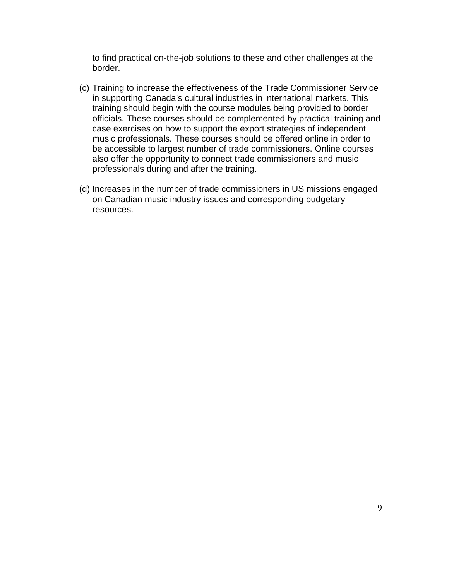to find practical on-the-job solutions to these and other challenges at the border.

- (c) Training to increase the effectiveness of the Trade Commissioner Service in supporting Canada's cultural industries in international markets. This training should begin with the course modules being provided to border officials. These courses should be complemented by practical training and case exercises on how to support the export strategies of independent music professionals. These courses should be offered online in order to be accessible to largest number of trade commissioners. Online courses also offer the opportunity to connect trade commissioners and music professionals during and after the training.
- (d) Increases in the number of trade commissioners in US missions engaged on Canadian music industry issues and corresponding budgetary resources.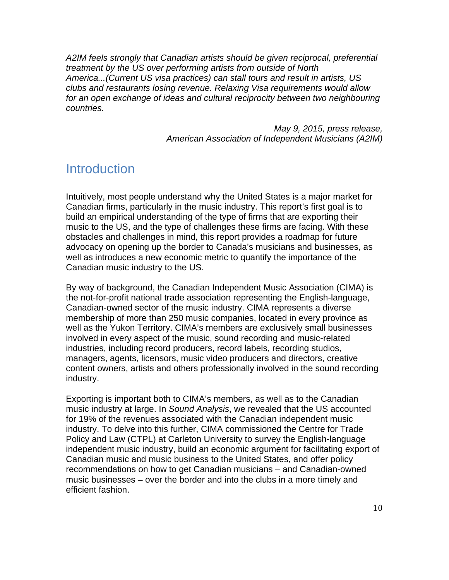*A2IM feels strongly that Canadian artists should be given reciprocal, preferential treatment by the US over performing artists from outside of North America...(Current US visa practices) can stall tours and result in artists, US clubs and restaurants losing revenue. Relaxing Visa requirements would allow for an open exchange of ideas and cultural reciprocity between two neighbouring countries.*

> *May 9, 2015, press release, American Association of Independent Musicians (A2IM)*

# **Introduction**

Intuitively, most people understand why the United States is a major market for Canadian firms, particularly in the music industry. This report's first goal is to build an empirical understanding of the type of firms that are exporting their music to the US, and the type of challenges these firms are facing. With these obstacles and challenges in mind, this report provides a roadmap for future advocacy on opening up the border to Canada's musicians and businesses, as well as introduces a new economic metric to quantify the importance of the Canadian music industry to the US.

By way of background, the Canadian Independent Music Association (CIMA) is the not-for-profit national trade association representing the English-language, Canadian-owned sector of the music industry. CIMA represents a diverse membership of more than 250 music companies, located in every province as well as the Yukon Territory. CIMA's members are exclusively small businesses involved in every aspect of the music, sound recording and music-related industries, including record producers, record labels, recording studios, managers, agents, licensors, music video producers and directors, creative content owners, artists and others professionally involved in the sound recording industry.

Exporting is important both to CIMA's members, as well as to the Canadian music industry at large. In *Sound Analysis*, we revealed that the US accounted for 19% of the revenues associated with the Canadian independent music industry. To delve into this further, CIMA commissioned the Centre for Trade Policy and Law (CTPL) at Carleton University to survey the English-language independent music industry, build an economic argument for facilitating export of Canadian music and music business to the United States, and offer policy recommendations on how to get Canadian musicians – and Canadian-owned music businesses – over the border and into the clubs in a more timely and efficient fashion.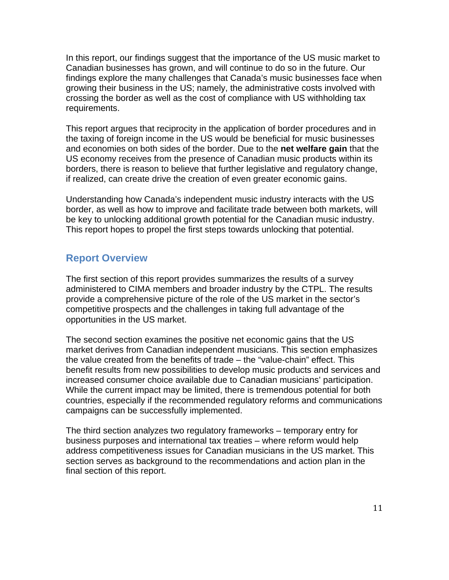In this report, our findings suggest that the importance of the US music market to Canadian businesses has grown, and will continue to do so in the future. Our findings explore the many challenges that Canada's music businesses face when growing their business in the US; namely, the administrative costs involved with crossing the border as well as the cost of compliance with US withholding tax requirements.

This report argues that reciprocity in the application of border procedures and in the taxing of foreign income in the US would be beneficial for music businesses and economies on both sides of the border. Due to the **net welfare gain** that the US economy receives from the presence of Canadian music products within its borders, there is reason to believe that further legislative and regulatory change, if realized, can create drive the creation of even greater economic gains.

Understanding how Canada's independent music industry interacts with the US border, as well as how to improve and facilitate trade between both markets, will be key to unlocking additional growth potential for the Canadian music industry. This report hopes to propel the first steps towards unlocking that potential.

#### **Report Overview**

The first section of this report provides summarizes the results of a survey administered to CIMA members and broader industry by the CTPL. The results provide a comprehensive picture of the role of the US market in the sector's competitive prospects and the challenges in taking full advantage of the opportunities in the US market.

The second section examines the positive net economic gains that the US market derives from Canadian independent musicians. This section emphasizes the value created from the benefits of trade – the "value-chain" effect. This benefit results from new possibilities to develop music products and services and increased consumer choice available due to Canadian musicians' participation. While the current impact may be limited, there is tremendous potential for both countries, especially if the recommended regulatory reforms and communications campaigns can be successfully implemented.

The third section analyzes two regulatory frameworks – temporary entry for business purposes and international tax treaties – where reform would help address competitiveness issues for Canadian musicians in the US market. This section serves as background to the recommendations and action plan in the final section of this report.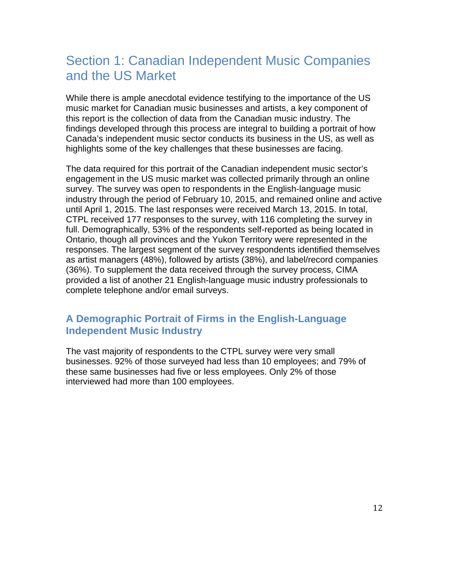# Section 1: Canadian Independent Music Companies and the US Market

While there is ample anecdotal evidence testifying to the importance of the US music market for Canadian music businesses and artists, a key component of this report is the collection of data from the Canadian music industry. The findings developed through this process are integral to building a portrait of how Canada's independent music sector conducts its business in the US, as well as highlights some of the key challenges that these businesses are facing.

The data required for this portrait of the Canadian independent music sector's engagement in the US music market was collected primarily through an online survey. The survey was open to respondents in the English-language music industry through the period of February 10, 2015, and remained online and active until April 1, 2015. The last responses were received March 13, 2015. In total, CTPL received 177 responses to the survey, with 116 completing the survey in full. Demographically, 53% of the respondents self-reported as being located in Ontario, though all provinces and the Yukon Territory were represented in the responses. The largest segment of the survey respondents identified themselves as artist managers (48%), followed by artists (38%), and label/record companies (36%). To supplement the data received through the survey process, CIMA provided a list of another 21 English-language music industry professionals to complete telephone and/or email surveys.

## **A Demographic Portrait of Firms in the English-Language Independent Music Industry**

The vast majority of respondents to the CTPL survey were very small businesses. 92% of those surveyed had less than 10 employees; and 79% of these same businesses had five or less employees. Only 2% of those interviewed had more than 100 employees.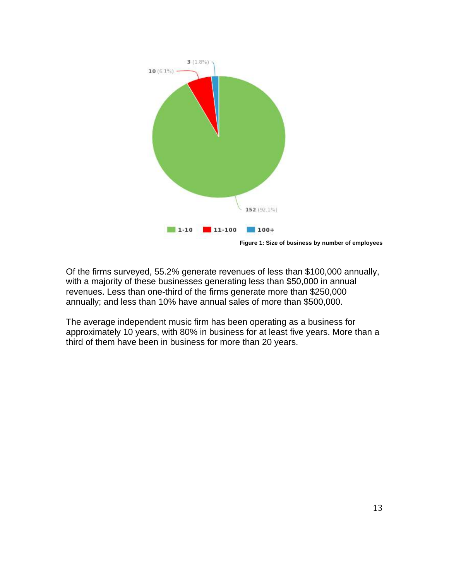

Of the firms surveyed, 55.2% generate revenues of less than \$100,000 annually, with a majority of these businesses generating less than \$50,000 in annual revenues. Less than one-third of the firms generate more than \$250,000 annually; and less than 10% have annual sales of more than \$500,000.

The average independent music firm has been operating as a business for approximately 10 years, with 80% in business for at least five years. More than a third of them have been in business for more than 20 years.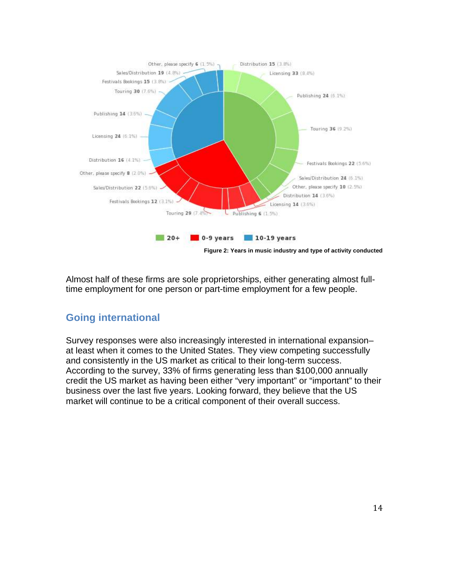

Almost half of these firms are sole proprietorships, either generating almost fulltime employment for one person or part-time employment for a few people.

# **Going international**

Survey responses were also increasingly interested in international expansion– at least when it comes to the United States. They view competing successfully and consistently in the US market as critical to their long-term success. According to the survey, 33% of firms generating less than \$100,000 annually credit the US market as having been either "very important" or "important" to their business over the last five years. Looking forward, they believe that the US market will continue to be a critical component of their overall success.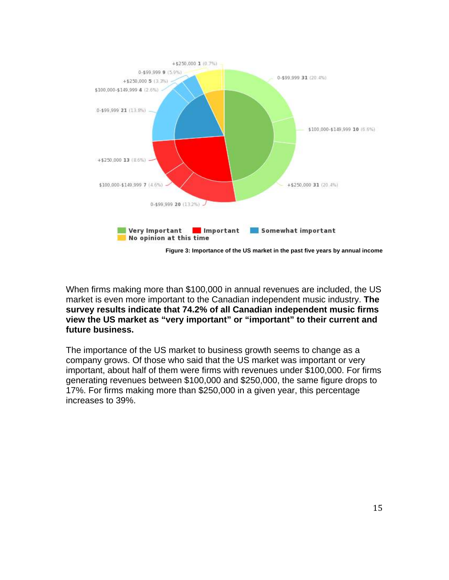

When firms making more than \$100,000 in annual revenues are included, the US market is even more important to the Canadian independent music industry. **The survey results indicate that 74.2% of all Canadian independent music firms view the US market as "very important" or "important" to their current and future business.**

The importance of the US market to business growth seems to change as a company grows. Of those who said that the US market was important or very important, about half of them were firms with revenues under \$100,000. For firms generating revenues between \$100,000 and \$250,000, the same figure drops to 17%. For firms making more than \$250,000 in a given year, this percentage increases to 39%.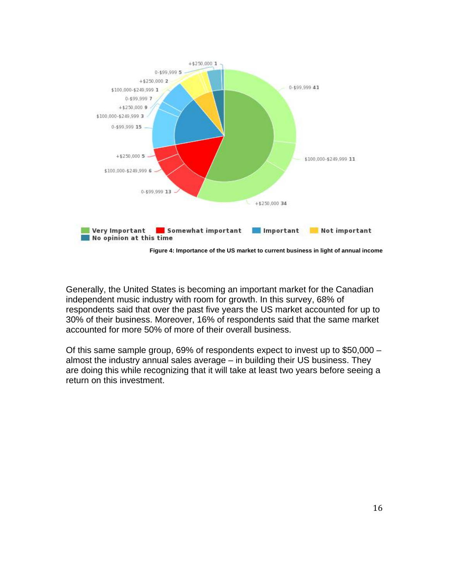

Generally, the United States is becoming an important market for the Canadian independent music industry with room for growth. In this survey, 68% of respondents said that over the past five years the US market accounted for up to 30% of their business. Moreover, 16% of respondents said that the same market accounted for more 50% of more of their overall business.

Of this same sample group, 69% of respondents expect to invest up to \$50,000 – almost the industry annual sales average – in building their US business. They are doing this while recognizing that it will take at least two years before seeing a return on this investment.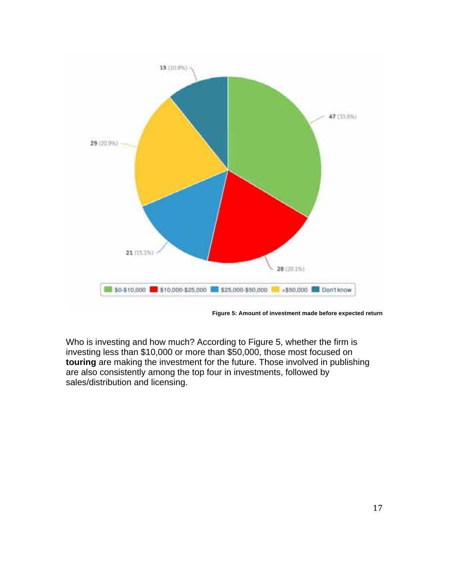

**Figure 5: Amount of investment made before expected return**

Who is investing and how much? According to Figure 5, whether the firm is investing less than \$10,000 or more than \$50,000, those most focused on **touring** are making the investment for the future. Those involved in publishing are also consistently among the top four in investments, followed by sales/distribution and licensing.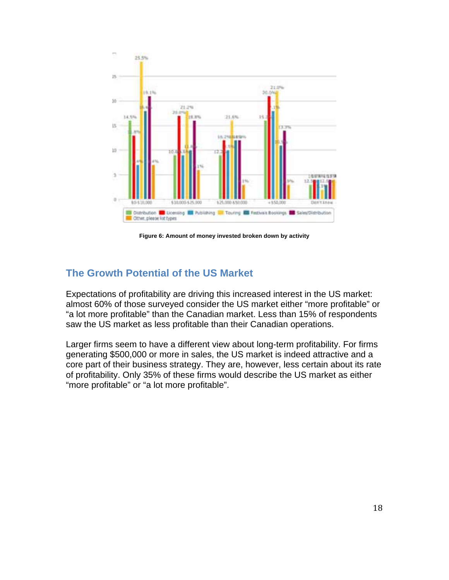

**Figure 6: Amount of money invested broken down by activity**

# **The Growth Potential of the US Market**

Expectations of profitability are driving this increased interest in the US market: almost 60% of those surveyed consider the US market either "more profitable" or "a lot more profitable" than the Canadian market. Less than 15% of respondents saw the US market as less profitable than their Canadian operations.

Larger firms seem to have a different view about long-term profitability. For firms generating \$500,000 or more in sales, the US market is indeed attractive and a core part of their business strategy. They are, however, less certain about its rate of profitability. Only 35% of these firms would describe the US market as either "more profitable" or "a lot more profitable".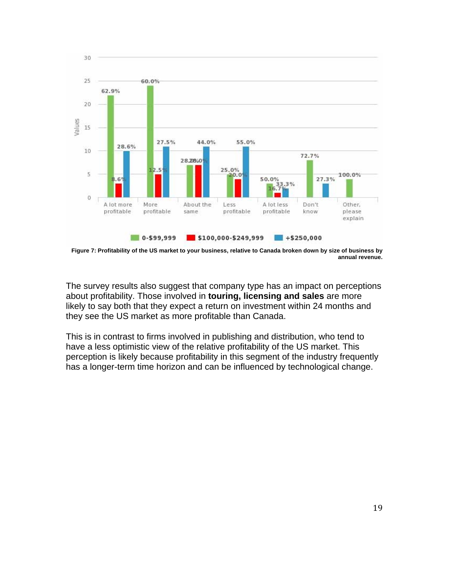

**Figure 7: Profitability of the US market to your business, relative to Canada broken down by size of business by annual revenue.**

The survey results also suggest that company type has an impact on perceptions about profitability. Those involved in **touring, licensing and sales** are more likely to say both that they expect a return on investment within 24 months and they see the US market as more profitable than Canada.

This is in contrast to firms involved in publishing and distribution, who tend to have a less optimistic view of the relative profitability of the US market. This perception is likely because profitability in this segment of the industry frequently has a longer-term time horizon and can be influenced by technological change.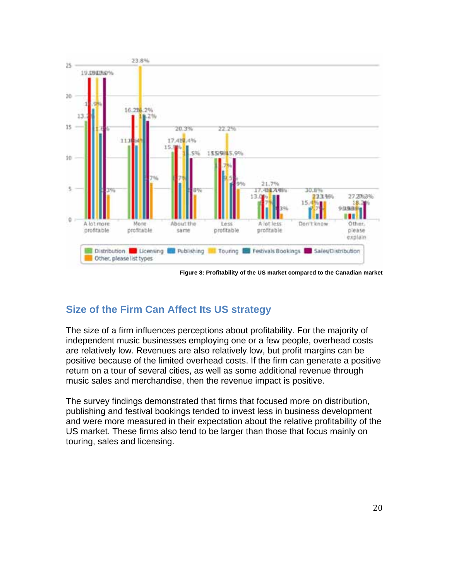

**Figure 8: Profitability of the US market compared to the Canadian market**

# **Size of the Firm Can Affect Its US strategy**

The size of a firm influences perceptions about profitability. For the majority of independent music businesses employing one or a few people, overhead costs are relatively low. Revenues are also relatively low, but profit margins can be positive because of the limited overhead costs. If the firm can generate a positive return on a tour of several cities, as well as some additional revenue through music sales and merchandise, then the revenue impact is positive.

The survey findings demonstrated that firms that focused more on distribution, publishing and festival bookings tended to invest less in business development and were more measured in their expectation about the relative profitability of the US market. These firms also tend to be larger than those that focus mainly on touring, sales and licensing.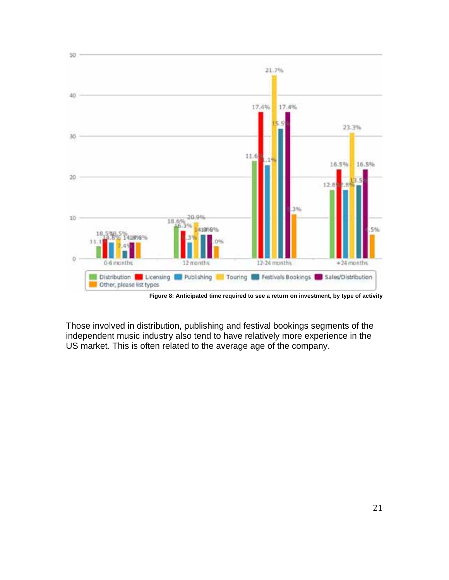

**Figure 8: Anticipated time required to see a return on investment, by type of activity**

Those involved in distribution, publishing and festival bookings segments of the independent music industry also tend to have relatively more experience in the US market. This is often related to the average age of the company.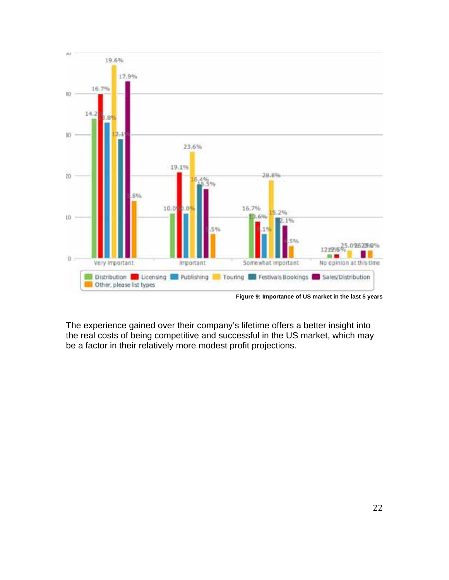

**Figure 9: Importance of US market in the last 5 years**

The experience gained over their company's lifetime offers a better insight into the real costs of being competitive and successful in the US market, which may be a factor in their relatively more modest profit projections.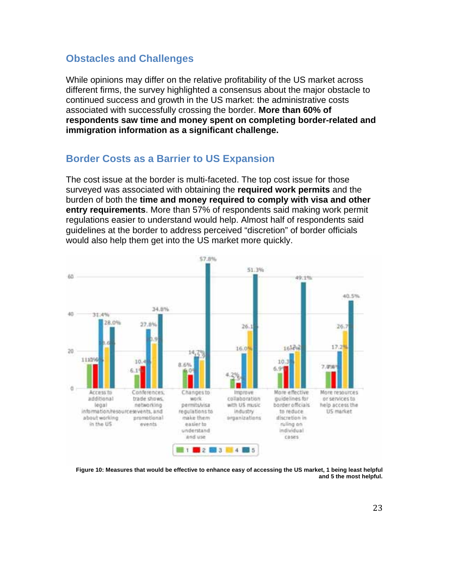#### **Obstacles and Challenges**

While opinions may differ on the relative profitability of the US market across different firms, the survey highlighted a consensus about the major obstacle to continued success and growth in the US market: the administrative costs associated with successfully crossing the border. **More than 60% of respondents saw time and money spent on completing border-related and immigration information as a significant challenge.** 

#### **Border Costs as a Barrier to US Expansion**

The cost issue at the border is multi-faceted. The top cost issue for those surveyed was associated with obtaining the **required work permits** and the burden of both the **time and money required to comply with visa and other entry requirements**. More than 57% of respondents said making work permit regulations easier to understand would help. Almost half of respondents said guidelines at the border to address perceived "discretion" of border officials would also help them get into the US market more quickly.



**Figure 10: Measures that would be effective to enhance easy of accessing the US market, 1 being least helpful and 5 the most helpful.**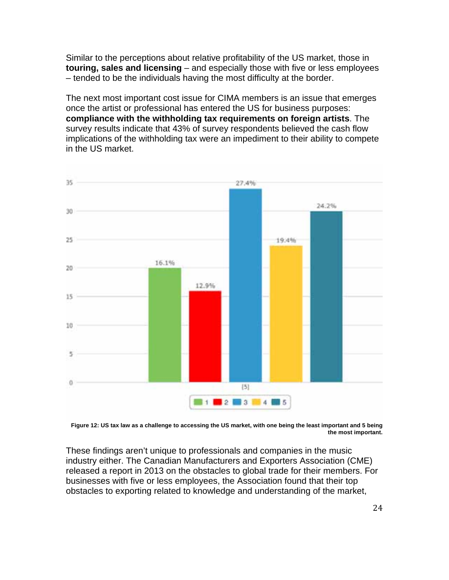Similar to the perceptions about relative profitability of the US market, those in **touring, sales and licensing** – and especially those with five or less employees – tended to be the individuals having the most difficulty at the border.

The next most important cost issue for CIMA members is an issue that emerges once the artist or professional has entered the US for business purposes: **compliance with the withholding tax requirements on foreign artists**. The survey results indicate that 43% of survey respondents believed the cash flow implications of the withholding tax were an impediment to their ability to compete in the US market.



**Figure 12: US tax law as a challenge to accessing the US market, with one being the least important and 5 being the most important.**

These findings aren't unique to professionals and companies in the music industry either. The Canadian Manufacturers and Exporters Association (CME) released a report in 2013 on the obstacles to global trade for their members. For businesses with five or less employees, the Association found that their top obstacles to exporting related to knowledge and understanding of the market,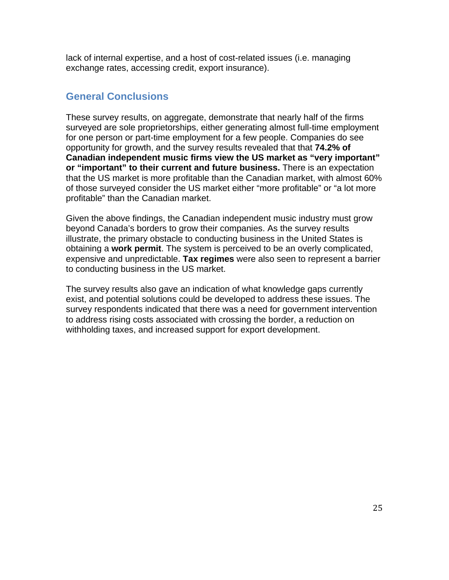lack of internal expertise, and a host of cost-related issues (i.e. managing exchange rates, accessing credit, export insurance).

## **General Conclusions**

These survey results, on aggregate, demonstrate that nearly half of the firms surveyed are sole proprietorships, either generating almost full-time employment for one person or part-time employment for a few people. Companies do see opportunity for growth, and the survey results revealed that that **74.2% of Canadian independent music firms view the US market as "very important" or "important" to their current and future business.** There is an expectation that the US market is more profitable than the Canadian market, with almost 60% of those surveyed consider the US market either "more profitable" or "a lot more profitable" than the Canadian market.

Given the above findings, the Canadian independent music industry must grow beyond Canada's borders to grow their companies. As the survey results illustrate, the primary obstacle to conducting business in the United States is obtaining a **work permit**. The system is perceived to be an overly complicated, expensive and unpredictable. **Tax regimes** were also seen to represent a barrier to conducting business in the US market.

The survey results also gave an indication of what knowledge gaps currently exist, and potential solutions could be developed to address these issues. The survey respondents indicated that there was a need for government intervention to address rising costs associated with crossing the border, a reduction on withholding taxes, and increased support for export development.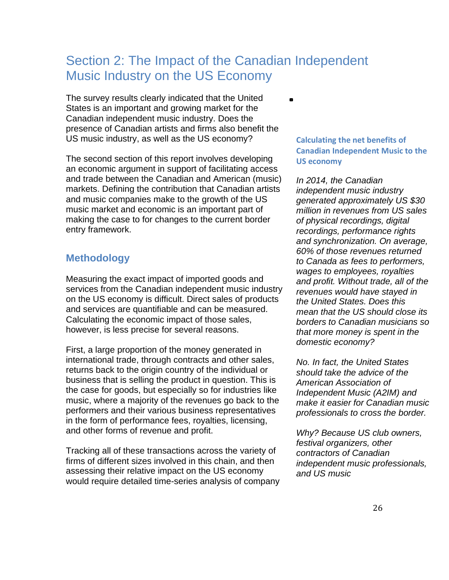# Section 2: The Impact of the Canadian Independent Music Industry on the US Economy

 $\blacksquare$ 

The survey results clearly indicated that the United States is an important and growing market for the Canadian independent music industry. Does the presence of Canadian artists and firms also benefit the US music industry, as well as the US economy?

The second section of this report involves developing an economic argument in support of facilitating access and trade between the Canadian and American (music) markets. Defining the contribution that Canadian artists and music companies make to the growth of the US music market and economic is an important part of making the case to for changes to the current border entry framework.

## **Methodology**

Measuring the exact impact of imported goods and services from the Canadian independent music industry on the US economy is difficult. Direct sales of products and services are quantifiable and can be measured. Calculating the economic impact of those sales, however, is less precise for several reasons.

First, a large proportion of the money generated in international trade, through contracts and other sales, returns back to the origin country of the individual or business that is selling the product in question. This is the case for goods, but especially so for industries like music, where a majority of the revenues go back to the performers and their various business representatives in the form of performance fees, royalties, licensing, and other forms of revenue and profit.

Tracking all of these transactions across the variety of firms of different sizes involved in this chain, and then assessing their relative impact on the US economy would require detailed time-series analysis of company **Calculating the net benefits of Canadian Independent Music to the US economy**

*In 2014, the Canadian independent music industry generated approximately US \$30 million in revenues from US sales of physical recordings, digital recordings, performance rights and synchronization. On average, 60% of those revenues returned to Canada as fees to performers, wages to employees, royalties and profit. Without trade, all of the revenues would have stayed in the United States. Does this mean that the US should close its borders to Canadian musicians so that more money is spent in the domestic economy?* 

*No. In fact, the United States should take the advice of the American Association of Independent Music (A2IM) and make it easier for Canadian music professionals to cross the border.* 

*Why? Because US club owners, festival organizers, other contractors of Canadian independent music professionals, and US music*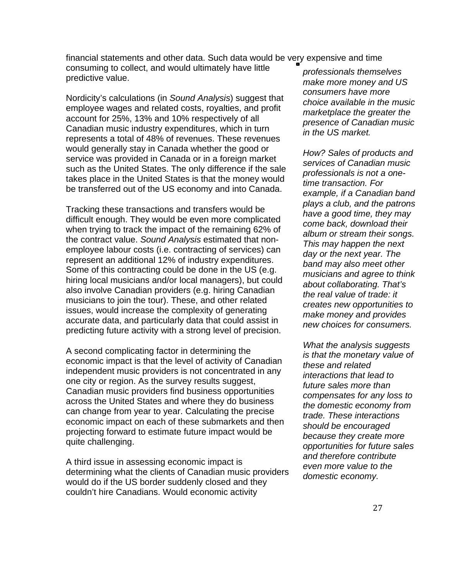financial statements and other data. Such data would be very expensive and time consuming to collect, and would ultimately have little

predictive value.

Nordicity's calculations (in *Sound Analysis*) suggest that employee wages and related costs, royalties, and profit account for 25%, 13% and 10% respectively of all Canadian music industry expenditures, which in turn represents a total of 48% of revenues. These revenues would generally stay in Canada whether the good or service was provided in Canada or in a foreign market such as the United States. The only difference if the sale takes place in the United States is that the money would be transferred out of the US economy and into Canada.

Tracking these transactions and transfers would be difficult enough. They would be even more complicated when trying to track the impact of the remaining 62% of the contract value. *Sound Analysis* estimated that nonemployee labour costs (i.e. contracting of services) can represent an additional 12% of industry expenditures. Some of this contracting could be done in the US (e.g. hiring local musicians and/or local managers), but could also involve Canadian providers (e.g. hiring Canadian musicians to join the tour). These, and other related issues, would increase the complexity of generating accurate data, and particularly data that could assist in predicting future activity with a strong level of precision.

A second complicating factor in determining the economic impact is that the level of activity of Canadian independent music providers is not concentrated in any one city or region. As the survey results suggest, Canadian music providers find business opportunities across the United States and where they do business can change from year to year. Calculating the precise economic impact on each of these submarkets and then projecting forward to estimate future impact would be quite challenging.

A third issue in assessing economic impact is determining what the clients of Canadian music providers would do if the US border suddenly closed and they couldn't hire Canadians. Would economic activity

*professionals themselves make more money and US consumers have more choice available in the music marketplace the greater the presence of Canadian music in the US market.*

*How? Sales of products and services of Canadian music professionals is not a onetime transaction. For example, if a Canadian band plays a club, and the patrons have a good time, they may come back, download their album or stream their songs. This may happen the next day or the next year. The band may also meet other musicians and agree to think about collaborating. That's the real value of trade: it creates new opportunities to make money and provides new choices for consumers.* 

*What the analysis suggests is that the monetary value of these and related interactions that lead to future sales more than compensates for any loss to the domestic economy from trade. These interactions should be encouraged because they create more opportunities for future sales and therefore contribute even more value to the domestic economy.*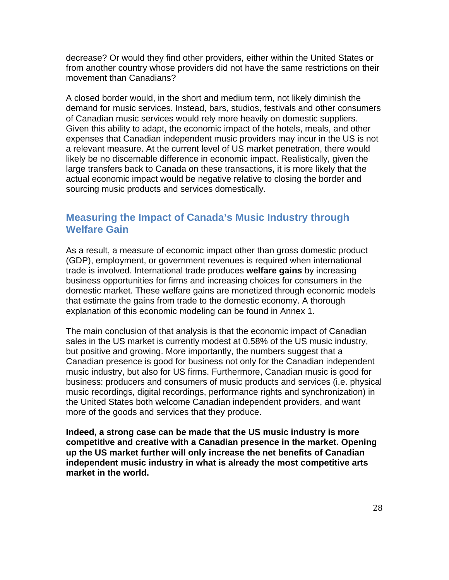decrease? Or would they find other providers, either within the United States or from another country whose providers did not have the same restrictions on their movement than Canadians?

A closed border would, in the short and medium term, not likely diminish the demand for music services. Instead, bars, studios, festivals and other consumers of Canadian music services would rely more heavily on domestic suppliers. Given this ability to adapt, the economic impact of the hotels, meals, and other expenses that Canadian independent music providers may incur in the US is not a relevant measure. At the current level of US market penetration, there would likely be no discernable difference in economic impact. Realistically, given the large transfers back to Canada on these transactions, it is more likely that the actual economic impact would be negative relative to closing the border and sourcing music products and services domestically.

### **Measuring the Impact of Canada's Music Industry through Welfare Gain**

As a result, a measure of economic impact other than gross domestic product (GDP), employment, or government revenues is required when international trade is involved. International trade produces **welfare gains** by increasing business opportunities for firms and increasing choices for consumers in the domestic market. These welfare gains are monetized through economic models that estimate the gains from trade to the domestic economy. A thorough explanation of this economic modeling can be found in Annex 1.

The main conclusion of that analysis is that the economic impact of Canadian sales in the US market is currently modest at 0.58% of the US music industry, but positive and growing. More importantly, the numbers suggest that a Canadian presence is good for business not only for the Canadian independent music industry, but also for US firms. Furthermore, Canadian music is good for business: producers and consumers of music products and services (i.e. physical music recordings, digital recordings, performance rights and synchronization) in the United States both welcome Canadian independent providers, and want more of the goods and services that they produce.

**Indeed, a strong case can be made that the US music industry is more competitive and creative with a Canadian presence in the market. Opening up the US market further will only increase the net benefits of Canadian independent music industry in what is already the most competitive arts market in the world.**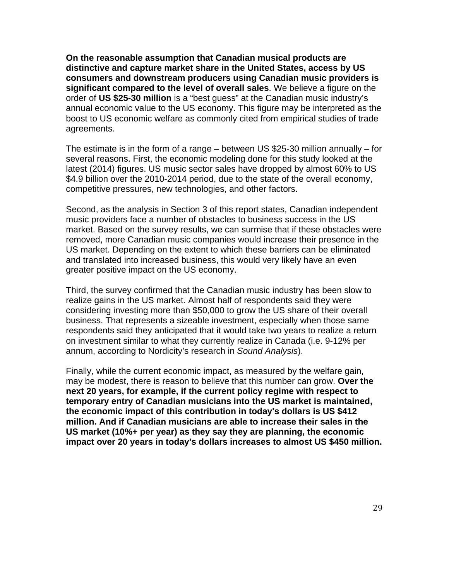**On the reasonable assumption that Canadian musical products are distinctive and capture market share in the United States, access by US consumers and downstream producers using Canadian music providers is significant compared to the level of overall sales**. We believe a figure on the order of **US \$25-30 million** is a "best guess" at the Canadian music industry's annual economic value to the US economy. This figure may be interpreted as the boost to US economic welfare as commonly cited from empirical studies of trade agreements.

The estimate is in the form of a range – between US \$25-30 million annually – for several reasons. First, the economic modeling done for this study looked at the latest (2014) figures. US music sector sales have dropped by almost 60% to US \$4.9 billion over the 2010-2014 period, due to the state of the overall economy, competitive pressures, new technologies, and other factors.

Second, as the analysis in Section 3 of this report states, Canadian independent music providers face a number of obstacles to business success in the US market. Based on the survey results, we can surmise that if these obstacles were removed, more Canadian music companies would increase their presence in the US market. Depending on the extent to which these barriers can be eliminated and translated into increased business, this would very likely have an even greater positive impact on the US economy.

Third, the survey confirmed that the Canadian music industry has been slow to realize gains in the US market. Almost half of respondents said they were considering investing more than \$50,000 to grow the US share of their overall business. That represents a sizeable investment, especially when those same respondents said they anticipated that it would take two years to realize a return on investment similar to what they currently realize in Canada (i.e. 9-12% per annum, according to Nordicity's research in *Sound Analysis*).

Finally, while the current economic impact, as measured by the welfare gain, may be modest, there is reason to believe that this number can grow. **Over the next 20 years, for example, if the current policy regime with respect to temporary entry of Canadian musicians into the US market is maintained, the economic impact of this contribution in today's dollars is US \$412 million. And if Canadian musicians are able to increase their sales in the US market (10%+ per year) as they say they are planning, the economic impact over 20 years in today's dollars increases to almost US \$450 million.**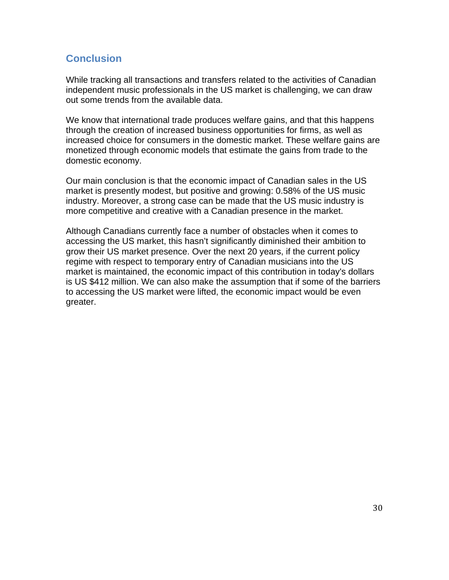## **Conclusion**

While tracking all transactions and transfers related to the activities of Canadian independent music professionals in the US market is challenging, we can draw out some trends from the available data.

We know that international trade produces welfare gains, and that this happens through the creation of increased business opportunities for firms, as well as increased choice for consumers in the domestic market. These welfare gains are monetized through economic models that estimate the gains from trade to the domestic economy.

Our main conclusion is that the economic impact of Canadian sales in the US market is presently modest, but positive and growing: 0.58% of the US music industry. Moreover, a strong case can be made that the US music industry is more competitive and creative with a Canadian presence in the market.

Although Canadians currently face a number of obstacles when it comes to accessing the US market, this hasn't significantly diminished their ambition to grow their US market presence. Over the next 20 years, if the current policy regime with respect to temporary entry of Canadian musicians into the US market is maintained, the economic impact of this contribution in today's dollars is US \$412 million. We can also make the assumption that if some of the barriers to accessing the US market were lifted, the economic impact would be even greater.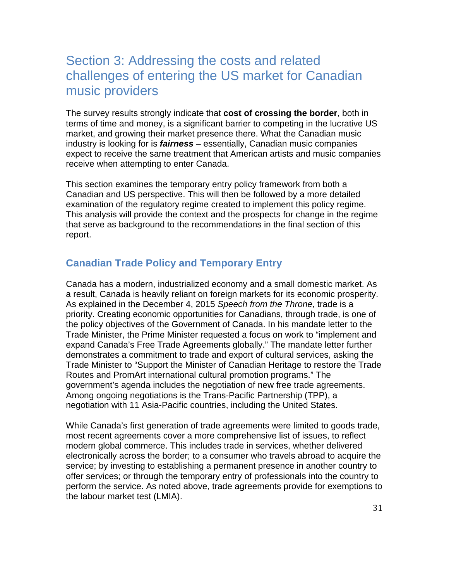# Section 3: Addressing the costs and related challenges of entering the US market for Canadian music providers

The survey results strongly indicate that **cost of crossing the border**, both in terms of time and money, is a significant barrier to competing in the lucrative US market, and growing their market presence there. What the Canadian music industry is looking for is *fairness* – essentially, Canadian music companies expect to receive the same treatment that American artists and music companies receive when attempting to enter Canada.

This section examines the temporary entry policy framework from both a Canadian and US perspective. This will then be followed by a more detailed examination of the regulatory regime created to implement this policy regime. This analysis will provide the context and the prospects for change in the regime that serve as background to the recommendations in the final section of this report.

## **Canadian Trade Policy and Temporary Entry**

Canada has a modern, industrialized economy and a small domestic market. As a result, Canada is heavily reliant on foreign markets for its economic prosperity. As explained in the December 4, 2015 *Speech from the Throne*, trade is a priority. Creating economic opportunities for Canadians, through trade, is one of the policy objectives of the Government of Canada. In his mandate letter to the Trade Minister, the Prime Minister requested a focus on work to "implement and expand Canada's Free Trade Agreements globally." The mandate letter further demonstrates a commitment to trade and export of cultural services, asking the Trade Minister to "Support the Minister of Canadian Heritage to restore the Trade Routes and PromArt international cultural promotion programs." The government's agenda includes the negotiation of new free trade agreements. Among ongoing negotiations is the Trans-Pacific Partnership (TPP), a negotiation with 11 Asia-Pacific countries, including the United States.

While Canada's first generation of trade agreements were limited to goods trade, most recent agreements cover a more comprehensive list of issues, to reflect modern global commerce. This includes trade in services, whether delivered electronically across the border; to a consumer who travels abroad to acquire the service; by investing to establishing a permanent presence in another country to offer services; or through the temporary entry of professionals into the country to perform the service. As noted above, trade agreements provide for exemptions to the labour market test (LMIA).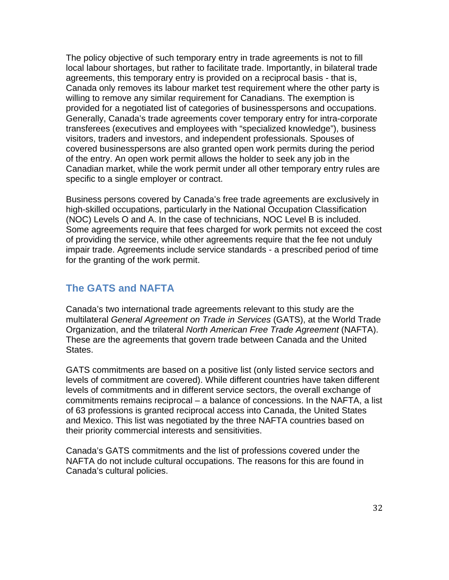The policy objective of such temporary entry in trade agreements is not to fill local labour shortages, but rather to facilitate trade. Importantly, in bilateral trade agreements, this temporary entry is provided on a reciprocal basis - that is, Canada only removes its labour market test requirement where the other party is willing to remove any similar requirement for Canadians. The exemption is provided for a negotiated list of categories of businesspersons and occupations. Generally, Canada's trade agreements cover temporary entry for intra-corporate transferees (executives and employees with "specialized knowledge"), business visitors, traders and investors, and independent professionals. Spouses of covered businesspersons are also granted open work permits during the period of the entry. An open work permit allows the holder to seek any job in the Canadian market, while the work permit under all other temporary entry rules are specific to a single employer or contract.

Business persons covered by Canada's free trade agreements are exclusively in high-skilled occupations, particularly in the National Occupation Classification (NOC) Levels O and A. In the case of technicians, NOC Level B is included. Some agreements require that fees charged for work permits not exceed the cost of providing the service, while other agreements require that the fee not unduly impair trade. Agreements include service standards - a prescribed period of time for the granting of the work permit.

## **The GATS and NAFTA**

Canada's two international trade agreements relevant to this study are the multilateral *General Agreement on Trade in Services* (GATS), at the World Trade Organization, and the trilateral *North American Free Trade Agreement* (NAFTA). These are the agreements that govern trade between Canada and the United States.

GATS commitments are based on a positive list (only listed service sectors and levels of commitment are covered). While different countries have taken different levels of commitments and in different service sectors, the overall exchange of commitments remains reciprocal – a balance of concessions. In the NAFTA, a list of 63 professions is granted reciprocal access into Canada, the United States and Mexico. This list was negotiated by the three NAFTA countries based on their priority commercial interests and sensitivities.

Canada's GATS commitments and the list of professions covered under the NAFTA do not include cultural occupations. The reasons for this are found in Canada's cultural policies.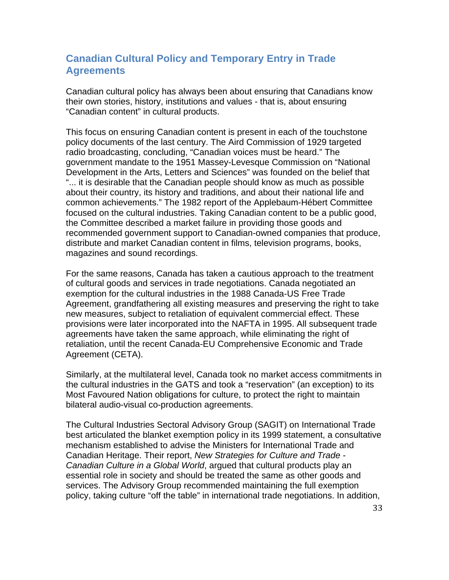## **Canadian Cultural Policy and Temporary Entry in Trade Agreements**

Canadian cultural policy has always been about ensuring that Canadians know their own stories, history, institutions and values - that is, about ensuring "Canadian content" in cultural products.

This focus on ensuring Canadian content is present in each of the touchstone policy documents of the last century. The Aird Commission of 1929 targeted radio broadcasting, concluding, "Canadian voices must be heard." The government mandate to the 1951 Massey-Levesque Commission on "National Development in the Arts, Letters and Sciences" was founded on the belief that "... it is desirable that the Canadian people should know as much as possible about their country, its history and traditions, and about their national life and common achievements." The 1982 report of the Applebaum-Hébert Committee focused on the cultural industries. Taking Canadian content to be a public good, the Committee described a market failure in providing those goods and recommended government support to Canadian-owned companies that produce, distribute and market Canadian content in films, television programs, books, magazines and sound recordings.

For the same reasons, Canada has taken a cautious approach to the treatment of cultural goods and services in trade negotiations. Canada negotiated an exemption for the cultural industries in the 1988 Canada-US Free Trade Agreement, grandfathering all existing measures and preserving the right to take new measures, subject to retaliation of equivalent commercial effect. These provisions were later incorporated into the NAFTA in 1995. All subsequent trade agreements have taken the same approach, while eliminating the right of retaliation, until the recent Canada-EU Comprehensive Economic and Trade Agreement (CETA).

Similarly, at the multilateral level, Canada took no market access commitments in the cultural industries in the GATS and took a "reservation" (an exception) to its Most Favoured Nation obligations for culture, to protect the right to maintain bilateral audio-visual co-production agreements.

The Cultural Industries Sectoral Advisory Group (SAGIT) on International Trade best articulated the blanket exemption policy in its 1999 statement, a consultative mechanism established to advise the Ministers for International Trade and Canadian Heritage. Their report, *New Strategies for Culture and Trade - Canadian Culture in a Global World*, argued that cultural products play an essential role in society and should be treated the same as other goods and services. The Advisory Group recommended maintaining the full exemption policy, taking culture "off the table" in international trade negotiations. In addition,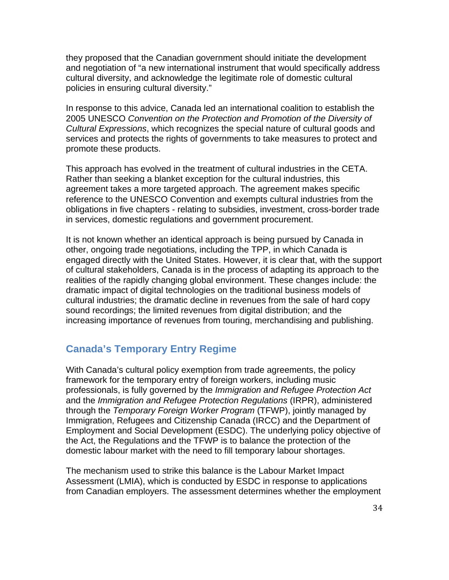they proposed that the Canadian government should initiate the development and negotiation of "a new international instrument that would specifically address cultural diversity, and acknowledge the legitimate role of domestic cultural policies in ensuring cultural diversity."

In response to this advice, Canada led an international coalition to establish the 2005 UNESCO *Convention on the Protection and Promotion of the Diversity of Cultural Expressions*, which recognizes the special nature of cultural goods and services and protects the rights of governments to take measures to protect and promote these products.

This approach has evolved in the treatment of cultural industries in the CETA. Rather than seeking a blanket exception for the cultural industries, this agreement takes a more targeted approach. The agreement makes specific reference to the UNESCO Convention and exempts cultural industries from the obligations in five chapters - relating to subsidies, investment, cross-border trade in services, domestic regulations and government procurement.

It is not known whether an identical approach is being pursued by Canada in other, ongoing trade negotiations, including the TPP, in which Canada is engaged directly with the United States. However, it is clear that, with the support of cultural stakeholders, Canada is in the process of adapting its approach to the realities of the rapidly changing global environment. These changes include: the dramatic impact of digital technologies on the traditional business models of cultural industries; the dramatic decline in revenues from the sale of hard copy sound recordings; the limited revenues from digital distribution; and the increasing importance of revenues from touring, merchandising and publishing.

### **Canada's Temporary Entry Regime**

With Canada's cultural policy exemption from trade agreements, the policy framework for the temporary entry of foreign workers, including music professionals, is fully governed by the *Immigration and Refugee Protection Act*  and the *Immigration and Refugee Protection Regulations* (IRPR), administered through the *Temporary Foreign Worker Program* (TFWP), jointly managed by Immigration, Refugees and Citizenship Canada (IRCC) and the Department of Employment and Social Development (ESDC). The underlying policy objective of the Act, the Regulations and the TFWP is to balance the protection of the domestic labour market with the need to fill temporary labour shortages.

The mechanism used to strike this balance is the Labour Market Impact Assessment (LMIA), which is conducted by ESDC in response to applications from Canadian employers. The assessment determines whether the employment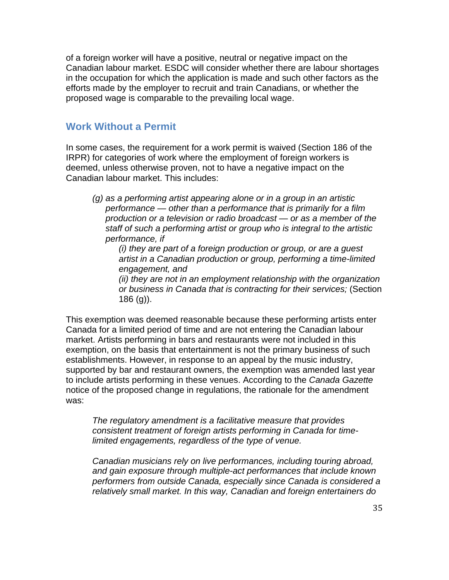of a foreign worker will have a positive, neutral or negative impact on the Canadian labour market. ESDC will consider whether there are labour shortages in the occupation for which the application is made and such other factors as the efforts made by the employer to recruit and train Canadians, or whether the proposed wage is comparable to the prevailing local wage.

#### **Work Without a Permit**

In some cases, the requirement for a work permit is waived (Section 186 of the IRPR) for categories of work where the employment of foreign workers is deemed, unless otherwise proven, not to have a negative impact on the Canadian labour market. This includes:

*(g) as a performing artist appearing alone or in a group in an artistic performance — other than a performance that is primarily for a film production or a television or radio broadcast — or as a member of the staff of such a performing artist or group who is integral to the artistic performance, if*

*(i) they are part of a foreign production or group, or are a guest artist in a Canadian production or group, performing a time-limited engagement, and*

*(ii) they are not in an employment relationship with the organization or business in Canada that is contracting for their services;* (Section 186 (g)).

This exemption was deemed reasonable because these performing artists enter Canada for a limited period of time and are not entering the Canadian labour market. Artists performing in bars and restaurants were not included in this exemption, on the basis that entertainment is not the primary business of such establishments. However, in response to an appeal by the music industry, supported by bar and restaurant owners, the exemption was amended last year to include artists performing in these venues. According to the *Canada Gazette*  notice of the proposed change in regulations, the rationale for the amendment was:

*The regulatory amendment is a facilitative measure that provides consistent treatment of foreign artists performing in Canada for timelimited engagements, regardless of the type of venue.*

*Canadian musicians rely on live performances, including touring abroad, and gain exposure through multiple-act performances that include known performers from outside Canada, especially since Canada is considered a relatively small market. In this way, Canadian and foreign entertainers do*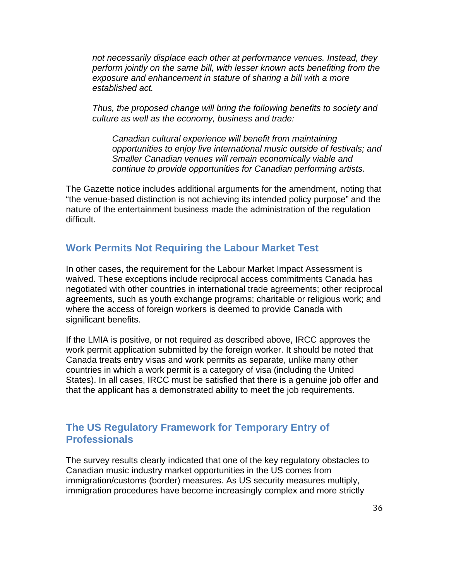*not necessarily displace each other at performance venues. Instead, they perform jointly on the same bill, with lesser known acts benefiting from the exposure and enhancement in stature of sharing a bill with a more established act.*

*Thus, the proposed change will bring the following benefits to society and culture as well as the economy, business and trade:*

*Canadian cultural experience will benefit from maintaining opportunities to enjoy live international music outside of festivals; and Smaller Canadian venues will remain economically viable and continue to provide opportunities for Canadian performing artists.*

The Gazette notice includes additional arguments for the amendment, noting that "the venue-based distinction is not achieving its intended policy purpose" and the nature of the entertainment business made the administration of the regulation difficult.

#### **Work Permits Not Requiring the Labour Market Test**

In other cases, the requirement for the Labour Market Impact Assessment is waived. These exceptions include reciprocal access commitments Canada has negotiated with other countries in international trade agreements; other reciprocal agreements, such as youth exchange programs; charitable or religious work; and where the access of foreign workers is deemed to provide Canada with significant benefits.

If the LMIA is positive, or not required as described above, IRCC approves the work permit application submitted by the foreign worker. It should be noted that Canada treats entry visas and work permits as separate, unlike many other countries in which a work permit is a category of visa (including the United States). In all cases, IRCC must be satisfied that there is a genuine job offer and that the applicant has a demonstrated ability to meet the job requirements.

## **The US Regulatory Framework for Temporary Entry of Professionals**

The survey results clearly indicated that one of the key regulatory obstacles to Canadian music industry market opportunities in the US comes from immigration/customs (border) measures. As US security measures multiply, immigration procedures have become increasingly complex and more strictly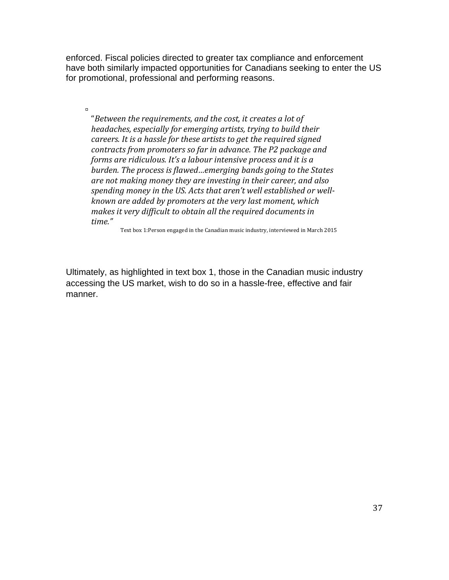enforced. Fiscal policies directed to greater tax compliance and enforcement have both similarly impacted opportunities for Canadians seeking to enter the US for promotional, professional and performing reasons.

"Between the requirements, and the cost, it creates a lot of *headaches, especially for emerging artists, trying to build their careers. It is a hassle for these artists to get the required signed contracts from promoters so far in advance. The P2 package and forms are ridiculous. It's a labour intensive process and it is a burden.* The process is flawed...emerging bands going to the States are not making money they are investing in their career, and also spending money in the US. Acts that aren't well established or well*known are added by promoters at the very last moment, which makes it very difficult to obtain all the required documents in time."*

 $\blacksquare$ 

Text box 1:Person engaged in the Canadian music industry, interviewed in March 2015

Ultimately, as highlighted in text box 1, those in the Canadian music industry accessing the US market, wish to do so in a hassle-free, effective and fair manner.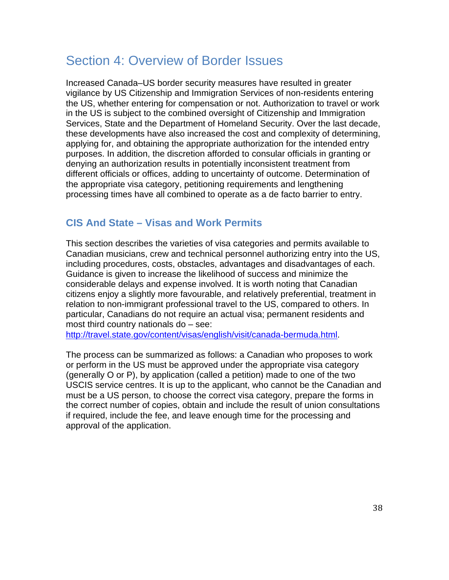# Section 4: Overview of Border Issues

Increased Canada–US border security measures have resulted in greater vigilance by US Citizenship and Immigration Services of non-residents entering the US, whether entering for compensation or not. Authorization to travel or work in the US is subject to the combined oversight of Citizenship and Immigration Services, State and the Department of Homeland Security. Over the last decade, these developments have also increased the cost and complexity of determining, applying for, and obtaining the appropriate authorization for the intended entry purposes. In addition, the discretion afforded to consular officials in granting or denying an authorization results in potentially inconsistent treatment from different officials or offices, adding to uncertainty of outcome. Determination of the appropriate visa category, petitioning requirements and lengthening processing times have all combined to operate as a de facto barrier to entry.

## **CIS And State – Visas and Work Permits**

This section describes the varieties of visa categories and permits available to Canadian musicians, crew and technical personnel authorizing entry into the US, including procedures, costs, obstacles, advantages and disadvantages of each. Guidance is given to increase the likelihood of success and minimize the considerable delays and expense involved. It is worth noting that Canadian citizens enjoy a slightly more favourable, and relatively preferential, treatment in relation to non-immigrant professional travel to the US, compared to others. In particular, Canadians do not require an actual visa; permanent residents and most third country nationals do – see:

http://travel.state.gov/content/visas/english/visit/canada-bermuda.html.

The process can be summarized as follows: a Canadian who proposes to work or perform in the US must be approved under the appropriate visa category (generally O or P), by application (called a petition) made to one of the two USCIS service centres. It is up to the applicant, who cannot be the Canadian and must be a US person, to choose the correct visa category, prepare the forms in the correct number of copies, obtain and include the result of union consultations if required, include the fee, and leave enough time for the processing and approval of the application.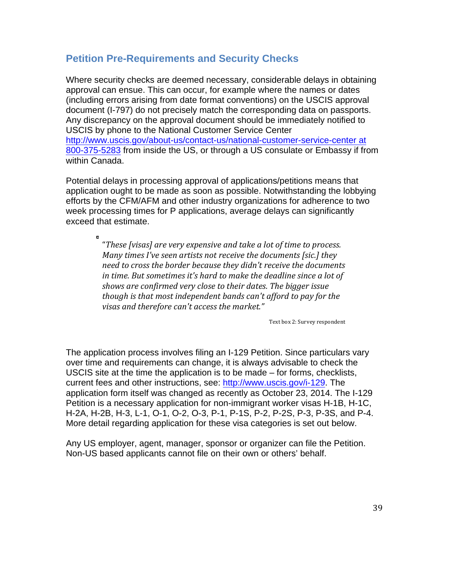## **Petition Pre-Requirements and Security Checks**

Where security checks are deemed necessary, considerable delays in obtaining approval can ensue. This can occur, for example where the names or dates (including errors arising from date format conventions) on the USCIS approval document (I-797) do not precisely match the corresponding data on passports. Any discrepancy on the approval document should be immediately notified to USCIS by phone to the National Customer Service Center http://www.uscis.gov/about-us/contact-us/national-customer-service-center at 800-375-5283 from inside the US, or through a US consulate or Embassy if from within Canada.

Potential delays in processing approval of applications/petitions means that application ought to be made as soon as possible. Notwithstanding the lobbying efforts by the CFM/AFM and other industry organizations for adherence to two week processing times for P applications, average delays can significantly exceed that estimate.

> "These [visas] are very expensive and take a lot of time to process. *Many times I've seen artists not receive the documents [sic.] they* need to cross the border because they didn't receive the documents *in time.* But sometimes it's hard to make the deadline since a lot of shows are confirmed very close to their dates. The bigger issue *though is that most independent bands can't afford to pay for the* visas and therefore can't access the market."

> > Text box 2: Survey respondent

The application process involves filing an I-129 Petition. Since particulars vary over time and requirements can change, it is always advisable to check the USCIS site at the time the application is to be made – for forms, checklists, current fees and other instructions, see: http://www.uscis.gov/i-129. The application form itself was changed as recently as October 23, 2014. The I-129 Petition is a necessary application for non-immigrant worker visas H-1B, H-1C, H-2A, H-2B, H-3, L-1, O-1, O-2, O-3, P-1, P-1S, P-2, P-2S, P-3, P-3S, and P-4. More detail regarding application for these visa categories is set out below.

Any US employer, agent, manager, sponsor or organizer can file the Petition. Non-US based applicants cannot file on their own or others' behalf.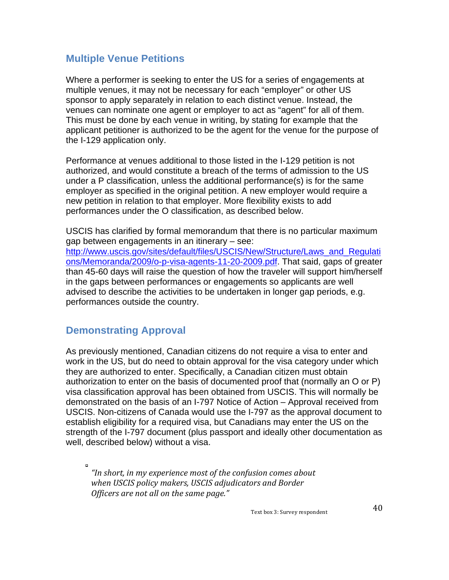## **Multiple Venue Petitions**

Where a performer is seeking to enter the US for a series of engagements at multiple venues, it may not be necessary for each "employer" or other US sponsor to apply separately in relation to each distinct venue. Instead, the venues can nominate one agent or employer to act as "agent" for all of them. This must be done by each venue in writing, by stating for example that the applicant petitioner is authorized to be the agent for the venue for the purpose of the I-129 application only.

Performance at venues additional to those listed in the I-129 petition is not authorized, and would constitute a breach of the terms of admission to the US under a P classification, unless the additional performance(s) is for the same employer as specified in the original petition. A new employer would require a new petition in relation to that employer. More flexibility exists to add performances under the O classification, as described below.

USCIS has clarified by formal memorandum that there is no particular maximum gap between engagements in an itinerary – see: http://www.uscis.gov/sites/default/files/USCIS/New/Structure/Laws\_and\_Requlati ons/Memoranda/2009/o-p-visa-agents-11-20-2009.pdf. That said, gaps of greater than 45-60 days will raise the question of how the traveler will support him/herself in the gaps between performances or engagements so applicants are well advised to describe the activities to be undertaken in longer gap periods, e.g. performances outside the country.

## **Demonstrating Approval**

As previously mentioned, Canadian citizens do not require a visa to enter and work in the US, but do need to obtain approval for the visa category under which they are authorized to enter. Specifically, a Canadian citizen must obtain authorization to enter on the basis of documented proof that (normally an O or P) visa classification approval has been obtained from USCIS. This will normally be demonstrated on the basis of an I-797 Notice of Action – Approval received from USCIS. Non-citizens of Canada would use the I-797 as the approval document to establish eligibility for a required visa, but Canadians may enter the US on the strength of the I-797 document (plus passport and ideally other documentation as well, described below) without a visa.

"In short, in my experience most of the confusion comes about when USCIS policy makers, USCIS adjudicators and Border *Officers are not all on the same page."* 

Text box 3: Survey respondent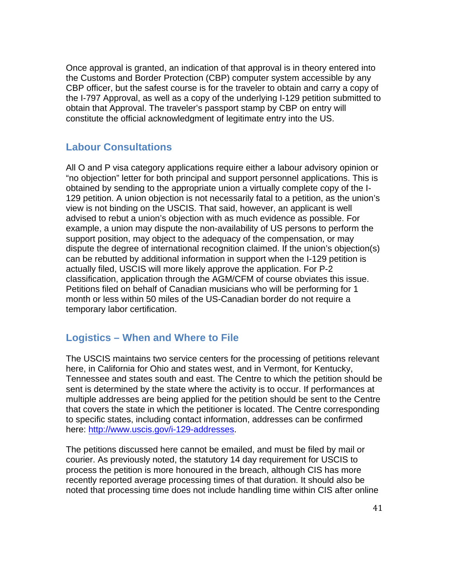Once approval is granted, an indication of that approval is in theory entered into the Customs and Border Protection (CBP) computer system accessible by any CBP officer, but the safest course is for the traveler to obtain and carry a copy of the I-797 Approval, as well as a copy of the underlying I-129 petition submitted to obtain that Approval. The traveler's passport stamp by CBP on entry will constitute the official acknowledgment of legitimate entry into the US.

#### **Labour Consultations**

All O and P visa category applications require either a labour advisory opinion or "no objection" letter for both principal and support personnel applications. This is obtained by sending to the appropriate union a virtually complete copy of the I-129 petition. A union objection is not necessarily fatal to a petition, as the union's view is not binding on the USCIS. That said, however, an applicant is well advised to rebut a union's objection with as much evidence as possible. For example, a union may dispute the non-availability of US persons to perform the support position, may object to the adequacy of the compensation, or may dispute the degree of international recognition claimed. If the union's objection(s) can be rebutted by additional information in support when the I-129 petition is actually filed, USCIS will more likely approve the application. For P-2 classification, application through the AGM/CFM of course obviates this issue. Petitions filed on behalf of Canadian musicians who will be performing for 1 month or less within 50 miles of the US-Canadian border do not require a temporary labor certification.

#### **Logistics – When and Where to File**

The USCIS maintains two service centers for the processing of petitions relevant here, in California for Ohio and states west, and in Vermont, for Kentucky, Tennessee and states south and east. The Centre to which the petition should be sent is determined by the state where the activity is to occur. If performances at multiple addresses are being applied for the petition should be sent to the Centre that covers the state in which the petitioner is located. The Centre corresponding to specific states, including contact information, addresses can be confirmed here: http://www.uscis.gov/i-129-addresses.

The petitions discussed here cannot be emailed, and must be filed by mail or courier. As previously noted, the statutory 14 day requirement for USCIS to process the petition is more honoured in the breach, although CIS has more recently reported average processing times of that duration. It should also be noted that processing time does not include handling time within CIS after online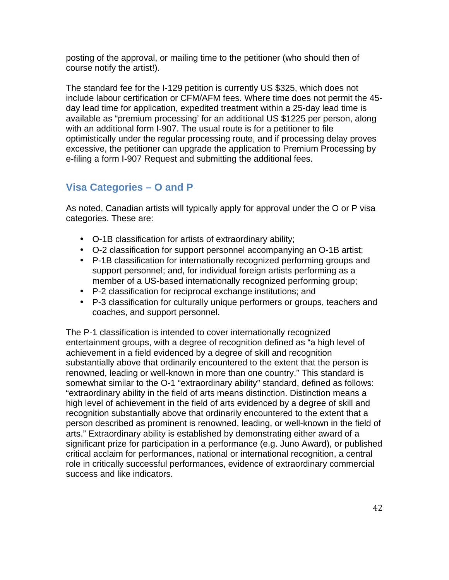posting of the approval, or mailing time to the petitioner (who should then of course notify the artist!).

The standard fee for the I-129 petition is currently US \$325, which does not include labour certification or CFM/AFM fees. Where time does not permit the 45 day lead time for application, expedited treatment within a 25-day lead time is available as "premium processing' for an additional US \$1225 per person, along with an additional form I-907. The usual route is for a petitioner to file optimistically under the regular processing route, and if processing delay proves excessive, the petitioner can upgrade the application to Premium Processing by e-filing a form I-907 Request and submitting the additional fees.

## **Visa Categories – O and P**

As noted, Canadian artists will typically apply for approval under the O or P visa categories. These are:

- O-1B classification for artists of extraordinary ability;
- O-2 classification for support personnel accompanying an O-1B artist;
- P-1B classification for internationally recognized performing groups and support personnel; and, for individual foreign artists performing as a member of a US-based internationally recognized performing group;
- P-2 classification for reciprocal exchange institutions; and
- P-3 classification for culturally unique performers or groups, teachers and coaches, and support personnel.

The P-1 classification is intended to cover internationally recognized entertainment groups, with a degree of recognition defined as "a high level of achievement in a field evidenced by a degree of skill and recognition substantially above that ordinarily encountered to the extent that the person is renowned, leading or well-known in more than one country." This standard is somewhat similar to the O-1 "extraordinary ability" standard, defined as follows: "extraordinary ability in the field of arts means distinction. Distinction means a high level of achievement in the field of arts evidenced by a degree of skill and recognition substantially above that ordinarily encountered to the extent that a person described as prominent is renowned, leading, or well-known in the field of arts." Extraordinary ability is established by demonstrating either award of a significant prize for participation in a performance (e.g. Juno Award), or published critical acclaim for performances, national or international recognition, a central role in critically successful performances, evidence of extraordinary commercial success and like indicators.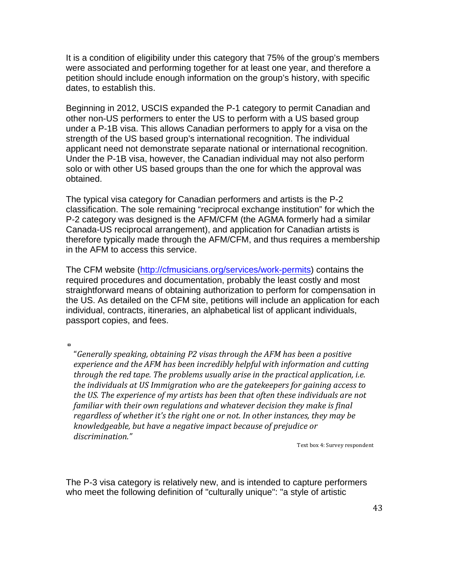It is a condition of eligibility under this category that 75% of the group's members were associated and performing together for at least one year, and therefore a petition should include enough information on the group's history, with specific dates, to establish this.

Beginning in 2012, USCIS expanded the P-1 category to permit Canadian and other non-US performers to enter the US to perform with a US based group under a P-1B visa. This allows Canadian performers to apply for a visa on the strength of the US based group's international recognition. The individual applicant need not demonstrate separate national or international recognition. Under the P-1B visa, however, the Canadian individual may not also perform solo or with other US based groups than the one for which the approval was obtained.

The typical visa category for Canadian performers and artists is the P-2 classification. The sole remaining "reciprocal exchange institution" for which the P-2 category was designed is the AFM/CFM (the AGMA formerly had a similar Canada-US reciprocal arrangement), and application for Canadian artists is therefore typically made through the AFM/CFM, and thus requires a membership in the AFM to access this service.

The CFM website (http://cfmusicians.org/services/work-permits) contains the required procedures and documentation, probably the least costly and most straightforward means of obtaining authorization to perform for compensation in the US. As detailed on the CFM site, petitions will include an application for each individual, contracts, itineraries, an alphabetical list of applicant individuals, passport copies, and fees.

 $\blacksquare$ 

"Generally *speaking, obtaining P2* visas through the AFM has been a positive *experience and the AFM has been incredibly helpful with information and cutting through the red tape. The problems usually arise in the practical application, i.e. the individuals at US Immigration who are the gatekeepers for gaining access to the US. The experience of my artists has been that often these individuals are not familiar* with their own regulations and whatever decision they make is final *regardless of whether it's the right one or not. In other instances, they may be knowledgeable, but have a negative impact because of prejudice or discrimination."*

Text box 4: Survey respondent

The P-3 visa category is relatively new, and is intended to capture performers who meet the following definition of "culturally unique": "a style of artistic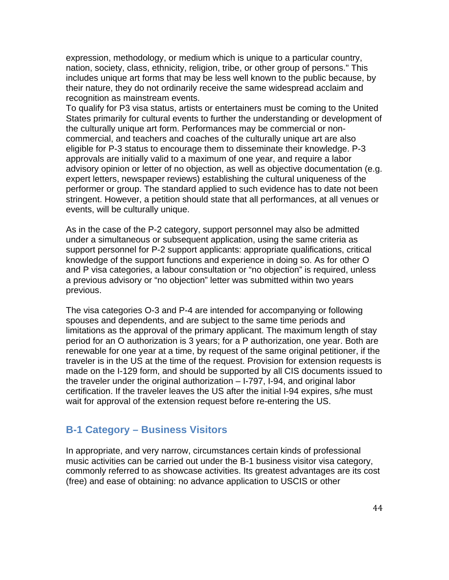expression, methodology, or medium which is unique to a particular country, nation, society, class, ethnicity, religion, tribe, or other group of persons." This includes unique art forms that may be less well known to the public because, by their nature, they do not ordinarily receive the same widespread acclaim and recognition as mainstream events.

To qualify for P3 visa status, artists or entertainers must be coming to the United States primarily for cultural events to further the understanding or development of the culturally unique art form. Performances may be commercial or noncommercial, and teachers and coaches of the culturally unique art are also eligible for P-3 status to encourage them to disseminate their knowledge. P-3 approvals are initially valid to a maximum of one year, and require a labor advisory opinion or letter of no objection, as well as objective documentation (e.g. expert letters, newspaper reviews) establishing the cultural uniqueness of the performer or group. The standard applied to such evidence has to date not been stringent. However, a petition should state that all performances, at all venues or events, will be culturally unique.

As in the case of the P-2 category, support personnel may also be admitted under a simultaneous or subsequent application, using the same criteria as support personnel for P-2 support applicants: appropriate qualifications, critical knowledge of the support functions and experience in doing so. As for other O and P visa categories, a labour consultation or "no objection" is required, unless a previous advisory or "no objection" letter was submitted within two years previous.

The visa categories O-3 and P-4 are intended for accompanying or following spouses and dependents, and are subject to the same time periods and limitations as the approval of the primary applicant. The maximum length of stay period for an O authorization is 3 years; for a P authorization, one year. Both are renewable for one year at a time, by request of the same original petitioner, if the traveler is in the US at the time of the request. Provision for extension requests is made on the I-129 form, and should be supported by all CIS documents issued to the traveler under the original authorization – I-797, I-94, and original labor certification. If the traveler leaves the US after the initial I-94 expires, s/he must wait for approval of the extension request before re-entering the US.

## **B-1 Category – Business Visitors**

In appropriate, and very narrow, circumstances certain kinds of professional music activities can be carried out under the B-1 business visitor visa category, commonly referred to as showcase activities. Its greatest advantages are its cost (free) and ease of obtaining: no advance application to USCIS or other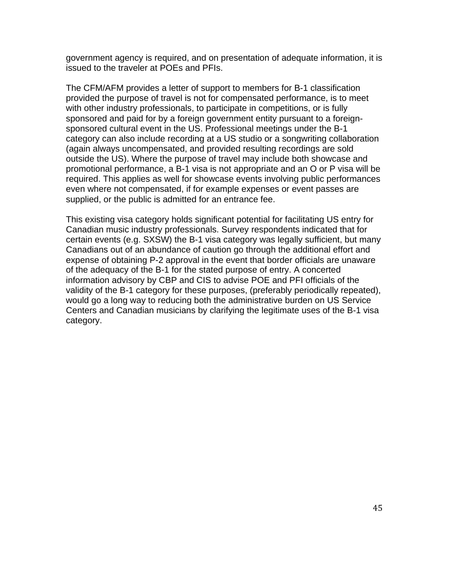government agency is required, and on presentation of adequate information, it is issued to the traveler at POEs and PFIs.

The CFM/AFM provides a letter of support to members for B-1 classification provided the purpose of travel is not for compensated performance, is to meet with other industry professionals, to participate in competitions, or is fully sponsored and paid for by a foreign government entity pursuant to a foreignsponsored cultural event in the US. Professional meetings under the B-1 category can also include recording at a US studio or a songwriting collaboration (again always uncompensated, and provided resulting recordings are sold outside the US). Where the purpose of travel may include both showcase and promotional performance, a B-1 visa is not appropriate and an O or P visa will be required. This applies as well for showcase events involving public performances even where not compensated, if for example expenses or event passes are supplied, or the public is admitted for an entrance fee.

This existing visa category holds significant potential for facilitating US entry for Canadian music industry professionals. Survey respondents indicated that for certain events (e.g. SXSW) the B-1 visa category was legally sufficient, but many Canadians out of an abundance of caution go through the additional effort and expense of obtaining P-2 approval in the event that border officials are unaware of the adequacy of the B-1 for the stated purpose of entry. A concerted information advisory by CBP and CIS to advise POE and PFI officials of the validity of the B-1 category for these purposes, (preferably periodically repeated), would go a long way to reducing both the administrative burden on US Service Centers and Canadian musicians by clarifying the legitimate uses of the B-1 visa category.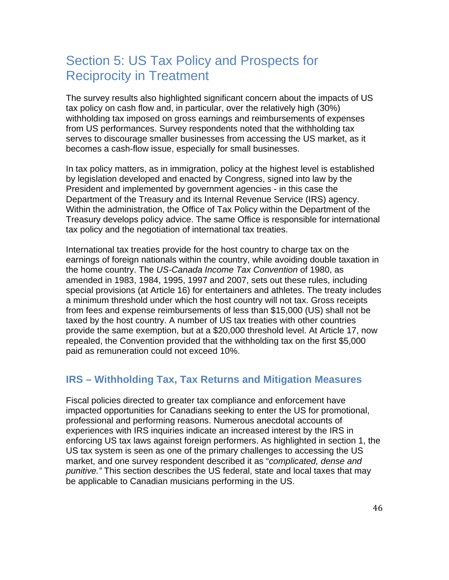# Section 5: US Tax Policy and Prospects for Reciprocity in Treatment

The survey results also highlighted significant concern about the impacts of US tax policy on cash flow and, in particular, over the relatively high (30%) withholding tax imposed on gross earnings and reimbursements of expenses from US performances. Survey respondents noted that the withholding tax serves to discourage smaller businesses from accessing the US market, as it becomes a cash-flow issue, especially for small businesses.

In tax policy matters, as in immigration, policy at the highest level is established by legislation developed and enacted by Congress, signed into law by the President and implemented by government agencies - in this case the Department of the Treasury and its Internal Revenue Service (IRS) agency. Within the administration, the Office of Tax Policy within the Department of the Treasury develops policy advice. The same Office is responsible for international tax policy and the negotiation of international tax treaties.

International tax treaties provide for the host country to charge tax on the earnings of foreign nationals within the country, while avoiding double taxation in the home country. The *US-Canada Income Tax Convention* of 1980, as amended in 1983, 1984, 1995, 1997 and 2007, sets out these rules, including special provisions (at Article 16) for entertainers and athletes. The treaty includes a minimum threshold under which the host country will not tax. Gross receipts from fees and expense reimbursements of less than \$15,000 (US) shall not be taxed by the host country. A number of US tax treaties with other countries provide the same exemption, but at a \$20,000 threshold level. At Article 17, now repealed, the Convention provided that the withholding tax on the first \$5,000 paid as remuneration could not exceed 10%.

## **IRS – Withholding Tax, Tax Returns and Mitigation Measures**

Fiscal policies directed to greater tax compliance and enforcement have impacted opportunities for Canadians seeking to enter the US for promotional, professional and performing reasons. Numerous anecdotal accounts of experiences with IRS inquiries indicate an increased interest by the IRS in enforcing US tax laws against foreign performers. As highlighted in section 1, the US tax system is seen as one of the primary challenges to accessing the US market, and one survey respondent described it as "*complicated, dense and punitive."* This section describes the US federal, state and local taxes that may be applicable to Canadian musicians performing in the US.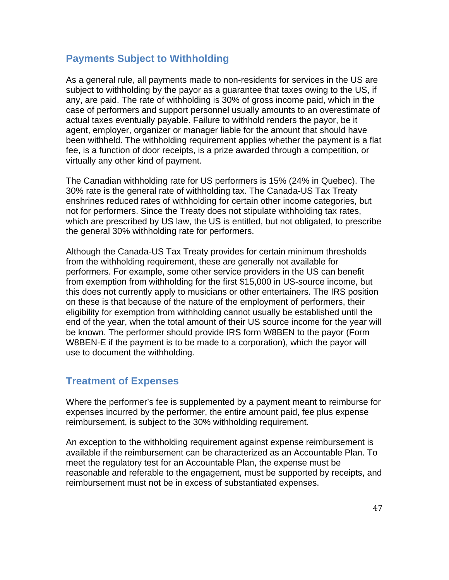## **Payments Subject to Withholding**

As a general rule, all payments made to non-residents for services in the US are subject to withholding by the payor as a guarantee that taxes owing to the US, if any, are paid. The rate of withholding is 30% of gross income paid, which in the case of performers and support personnel usually amounts to an overestimate of actual taxes eventually payable. Failure to withhold renders the payor, be it agent, employer, organizer or manager liable for the amount that should have been withheld. The withholding requirement applies whether the payment is a flat fee, is a function of door receipts, is a prize awarded through a competition, or virtually any other kind of payment.

The Canadian withholding rate for US performers is 15% (24% in Quebec). The 30% rate is the general rate of withholding tax. The Canada-US Tax Treaty enshrines reduced rates of withholding for certain other income categories, but not for performers. Since the Treaty does not stipulate withholding tax rates, which are prescribed by US law, the US is entitled, but not obligated, to prescribe the general 30% withholding rate for performers.

Although the Canada-US Tax Treaty provides for certain minimum thresholds from the withholding requirement, these are generally not available for performers. For example, some other service providers in the US can benefit from exemption from withholding for the first \$15,000 in US-source income, but this does not currently apply to musicians or other entertainers. The IRS position on these is that because of the nature of the employment of performers, their eligibility for exemption from withholding cannot usually be established until the end of the year, when the total amount of their US source income for the year will be known. The performer should provide IRS form W8BEN to the payor (Form W8BEN-E if the payment is to be made to a corporation), which the payor will use to document the withholding.

## **Treatment of Expenses**

Where the performer's fee is supplemented by a payment meant to reimburse for expenses incurred by the performer, the entire amount paid, fee plus expense reimbursement, is subject to the 30% withholding requirement.

An exception to the withholding requirement against expense reimbursement is available if the reimbursement can be characterized as an Accountable Plan. To meet the regulatory test for an Accountable Plan, the expense must be reasonable and referable to the engagement, must be supported by receipts, and reimbursement must not be in excess of substantiated expenses.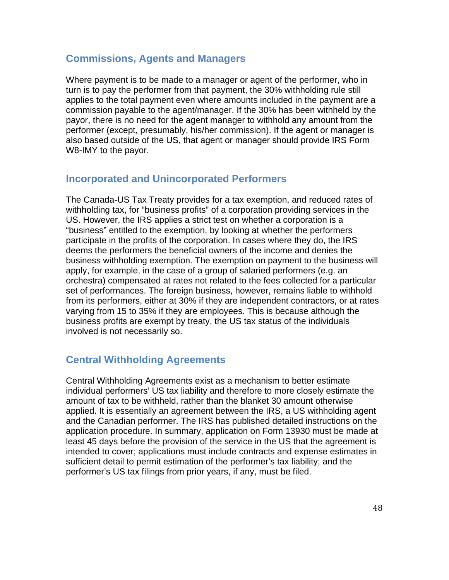#### **Commissions, Agents and Managers**

Where payment is to be made to a manager or agent of the performer, who in turn is to pay the performer from that payment, the 30% withholding rule still applies to the total payment even where amounts included in the payment are a commission payable to the agent/manager. If the 30% has been withheld by the payor, there is no need for the agent manager to withhold any amount from the performer (except, presumably, his/her commission). If the agent or manager is also based outside of the US, that agent or manager should provide IRS Form W8-IMY to the payor.

## **Incorporated and Unincorporated Performers**

The Canada-US Tax Treaty provides for a tax exemption, and reduced rates of withholding tax, for "business profits" of a corporation providing services in the US. However, the IRS applies a strict test on whether a corporation is a "business" entitled to the exemption, by looking at whether the performers participate in the profits of the corporation. In cases where they do, the IRS deems the performers the beneficial owners of the income and denies the business withholding exemption. The exemption on payment to the business will apply, for example, in the case of a group of salaried performers (e.g. an orchestra) compensated at rates not related to the fees collected for a particular set of performances. The foreign business, however, remains liable to withhold from its performers, either at 30% if they are independent contractors, or at rates varying from 15 to 35% if they are employees. This is because although the business profits are exempt by treaty, the US tax status of the individuals involved is not necessarily so.

## **Central Withholding Agreements**

Central Withholding Agreements exist as a mechanism to better estimate individual performers' US tax liability and therefore to more closely estimate the amount of tax to be withheld, rather than the blanket 30 amount otherwise applied. It is essentially an agreement between the IRS, a US withholding agent and the Canadian performer. The IRS has published detailed instructions on the application procedure. In summary, application on Form 13930 must be made at least 45 days before the provision of the service in the US that the agreement is intended to cover; applications must include contracts and expense estimates in sufficient detail to permit estimation of the performer's tax liability; and the performer's US tax filings from prior years, if any, must be filed.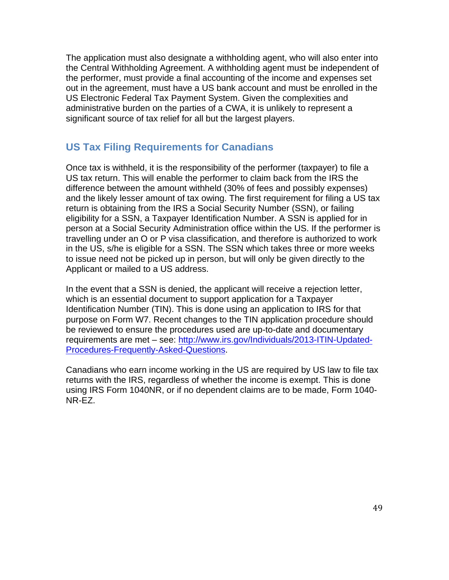The application must also designate a withholding agent, who will also enter into the Central Withholding Agreement. A withholding agent must be independent of the performer, must provide a final accounting of the income and expenses set out in the agreement, must have a US bank account and must be enrolled in the US Electronic Federal Tax Payment System. Given the complexities and administrative burden on the parties of a CWA, it is unlikely to represent a significant source of tax relief for all but the largest players.

## **US Tax Filing Requirements for Canadians**

Once tax is withheld, it is the responsibility of the performer (taxpayer) to file a US tax return. This will enable the performer to claim back from the IRS the difference between the amount withheld (30% of fees and possibly expenses) and the likely lesser amount of tax owing. The first requirement for filing a US tax return is obtaining from the IRS a Social Security Number (SSN), or failing eligibility for a SSN, a Taxpayer Identification Number. A SSN is applied for in person at a Social Security Administration office within the US. If the performer is travelling under an O or P visa classification, and therefore is authorized to work in the US, s/he is eligible for a SSN. The SSN which takes three or more weeks to issue need not be picked up in person, but will only be given directly to the Applicant or mailed to a US address.

In the event that a SSN is denied, the applicant will receive a rejection letter, which is an essential document to support application for a Taxpayer Identification Number (TIN). This is done using an application to IRS for that purpose on Form W7. Recent changes to the TIN application procedure should be reviewed to ensure the procedures used are up-to-date and documentary requirements are met – see: http://www.irs.gov/Individuals/2013-ITIN-Updated-Procedures-Frequently-Asked-Questions.

Canadians who earn income working in the US are required by US law to file tax returns with the IRS, regardless of whether the income is exempt. This is done using IRS Form 1040NR, or if no dependent claims are to be made, Form 1040- NR-EZ.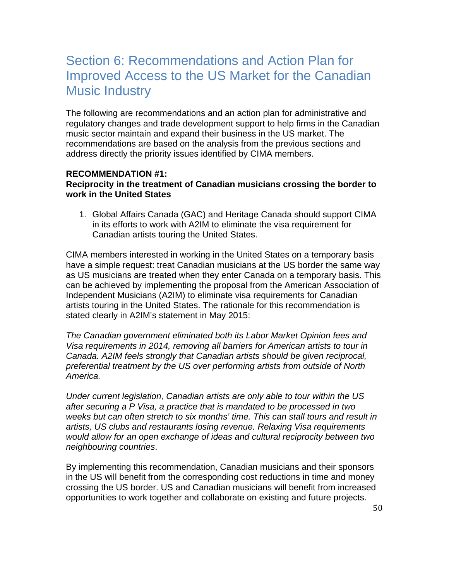# Section 6: Recommendations and Action Plan for Improved Access to the US Market for the Canadian Music Industry

The following are recommendations and an action plan for administrative and regulatory changes and trade development support to help firms in the Canadian music sector maintain and expand their business in the US market. The recommendations are based on the analysis from the previous sections and address directly the priority issues identified by CIMA members.

#### **RECOMMENDATION #1: Reciprocity in the treatment of Canadian musicians crossing the border to work in the United States**

1. Global Affairs Canada (GAC) and Heritage Canada should support CIMA in its efforts to work with A2IM to eliminate the visa requirement for Canadian artists touring the United States.

CIMA members interested in working in the United States on a temporary basis have a simple request: treat Canadian musicians at the US border the same way as US musicians are treated when they enter Canada on a temporary basis. This can be achieved by implementing the proposal from the American Association of Independent Musicians (A2IM) to eliminate visa requirements for Canadian artists touring in the United States. The rationale for this recommendation is stated clearly in A2IM's statement in May 2015:

*The Canadian government eliminated both its Labor Market Opinion fees and Visa requirements in 2014, removing all barriers for American artists to tour in Canada. A2IM feels strongly that Canadian artists should be given reciprocal, preferential treatment by the US over performing artists from outside of North America.* 

*Under current legislation, Canadian artists are only able to tour within the US after securing a P Visa, a practice that is mandated to be processed in two weeks but can often stretch to six months' time. This can stall tours and result in artists, US clubs and restaurants losing revenue. Relaxing Visa requirements would allow for an open exchange of ideas and cultural reciprocity between two neighbouring countries*.

By implementing this recommendation, Canadian musicians and their sponsors in the US will benefit from the corresponding cost reductions in time and money crossing the US border. US and Canadian musicians will benefit from increased opportunities to work together and collaborate on existing and future projects.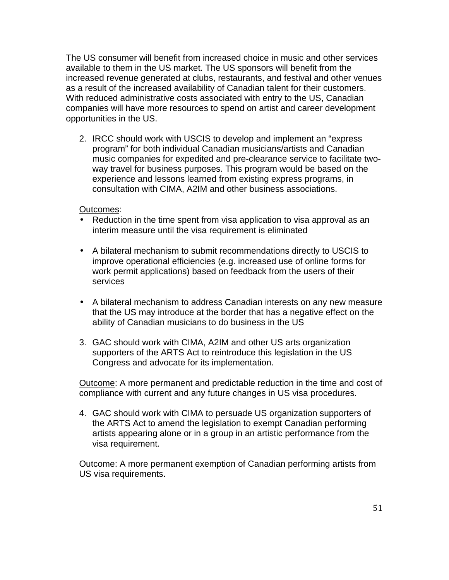The US consumer will benefit from increased choice in music and other services available to them in the US market. The US sponsors will benefit from the increased revenue generated at clubs, restaurants, and festival and other venues as a result of the increased availability of Canadian talent for their customers. With reduced administrative costs associated with entry to the US, Canadian companies will have more resources to spend on artist and career development opportunities in the US.

2. IRCC should work with USCIS to develop and implement an "express program" for both individual Canadian musicians/artists and Canadian music companies for expedited and pre-clearance service to facilitate twoway travel for business purposes. This program would be based on the experience and lessons learned from existing express programs, in consultation with CIMA, A2IM and other business associations.

#### Outcomes:

- Reduction in the time spent from visa application to visa approval as an interim measure until the visa requirement is eliminated
- A bilateral mechanism to submit recommendations directly to USCIS to improve operational efficiencies (e.g. increased use of online forms for work permit applications) based on feedback from the users of their services
- A bilateral mechanism to address Canadian interests on any new measure that the US may introduce at the border that has a negative effect on the ability of Canadian musicians to do business in the US
- 3. GAC should work with CIMA, A2IM and other US arts organization supporters of the ARTS Act to reintroduce this legislation in the US Congress and advocate for its implementation.

Outcome: A more permanent and predictable reduction in the time and cost of compliance with current and any future changes in US visa procedures.

4. GAC should work with CIMA to persuade US organization supporters of the ARTS Act to amend the legislation to exempt Canadian performing artists appearing alone or in a group in an artistic performance from the visa requirement.

Outcome: A more permanent exemption of Canadian performing artists from US visa requirements.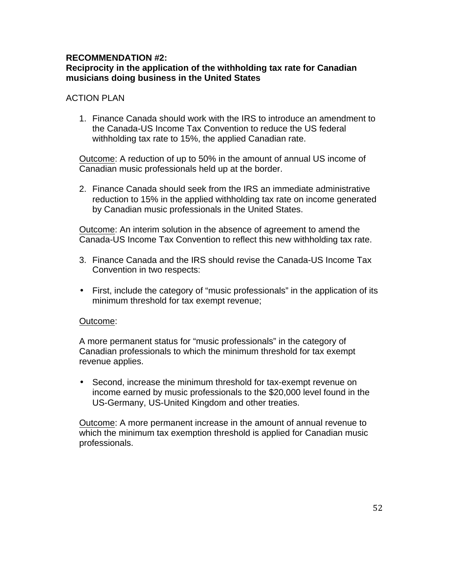#### **RECOMMENDATION #2:**

#### **Reciprocity in the application of the withholding tax rate for Canadian musicians doing business in the United States**

#### **ACTION PLAN**

1. Finance Canada should work with the IRS to introduce an amendment to the Canada-US Income Tax Convention to reduce the US federal withholding tax rate to 15%, the applied Canadian rate.

Outcome: A reduction of up to 50% in the amount of annual US income of Canadian music professionals held up at the border.

2. Finance Canada should seek from the IRS an immediate administrative reduction to 15% in the applied withholding tax rate on income generated by Canadian music professionals in the United States.

Outcome: An interim solution in the absence of agreement to amend the Canada-US Income Tax Convention to reflect this new withholding tax rate.

- 3. Finance Canada and the IRS should revise the Canada-US Income Tax Convention in two respects:
- First, include the category of "music professionals" in the application of its minimum threshold for tax exempt revenue;

#### Outcome:

A more permanent status for "music professionals" in the category of Canadian professionals to which the minimum threshold for tax exempt revenue applies.

• Second, increase the minimum threshold for tax-exempt revenue on income earned by music professionals to the \$20,000 level found in the US-Germany, US-United Kingdom and other treaties.

Outcome: A more permanent increase in the amount of annual revenue to which the minimum tax exemption threshold is applied for Canadian music professionals.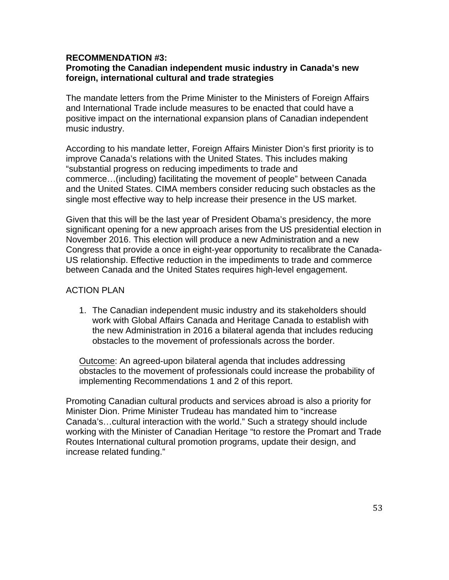#### **RECOMMENDATION #3:**

#### **Promoting the Canadian independent music industry in Canada's new foreign, international cultural and trade strategies**

The mandate letters from the Prime Minister to the Ministers of Foreign Affairs and International Trade include measures to be enacted that could have a positive impact on the international expansion plans of Canadian independent music industry.

According to his mandate letter, Foreign Affairs Minister Dion's first priority is to improve Canada's relations with the United States. This includes making "substantial progress on reducing impediments to trade and commerce…(including) facilitating the movement of people" between Canada and the United States. CIMA members consider reducing such obstacles as the single most effective way to help increase their presence in the US market.

Given that this will be the last year of President Obama's presidency, the more significant opening for a new approach arises from the US presidential election in November 2016. This election will produce a new Administration and a new Congress that provide a once in eight-year opportunity to recalibrate the Canada-US relationship. Effective reduction in the impediments to trade and commerce between Canada and the United States requires high-level engagement.

#### ACTION PLAN

1. The Canadian independent music industry and its stakeholders should work with Global Affairs Canada and Heritage Canada to establish with the new Administration in 2016 a bilateral agenda that includes reducing obstacles to the movement of professionals across the border.

Outcome: An agreed-upon bilateral agenda that includes addressing obstacles to the movement of professionals could increase the probability of implementing Recommendations 1 and 2 of this report.

Promoting Canadian cultural products and services abroad is also a priority for Minister Dion. Prime Minister Trudeau has mandated him to "increase Canada's…cultural interaction with the world." Such a strategy should include working with the Minister of Canadian Heritage "to restore the Promart and Trade Routes International cultural promotion programs, update their design, and increase related funding."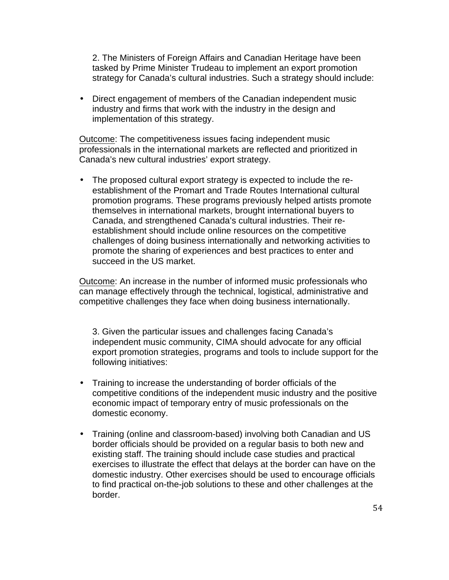2. The Ministers of Foreign Affairs and Canadian Heritage have been tasked by Prime Minister Trudeau to implement an export promotion strategy for Canada's cultural industries. Such a strategy should include:

• Direct engagement of members of the Canadian independent music industry and firms that work with the industry in the design and implementation of this strategy.

Outcome: The competitiveness issues facing independent music professionals in the international markets are reflected and prioritized in Canada's new cultural industries' export strategy.

• The proposed cultural export strategy is expected to include the reestablishment of the Promart and Trade Routes International cultural promotion programs. These programs previously helped artists promote themselves in international markets, brought international buyers to Canada, and strengthened Canada's cultural industries. Their reestablishment should include online resources on the competitive challenges of doing business internationally and networking activities to promote the sharing of experiences and best practices to enter and succeed in the US market.

Outcome: An increase in the number of informed music professionals who can manage effectively through the technical, logistical, administrative and competitive challenges they face when doing business internationally.

3. Given the particular issues and challenges facing Canada's independent music community, CIMA should advocate for any official export promotion strategies, programs and tools to include support for the following initiatives:

- Training to increase the understanding of border officials of the competitive conditions of the independent music industry and the positive economic impact of temporary entry of music professionals on the domestic economy.
- Training (online and classroom-based) involving both Canadian and US border officials should be provided on a regular basis to both new and existing staff. The training should include case studies and practical exercises to illustrate the effect that delays at the border can have on the domestic industry. Other exercises should be used to encourage officials to find practical on-the-job solutions to these and other challenges at the border.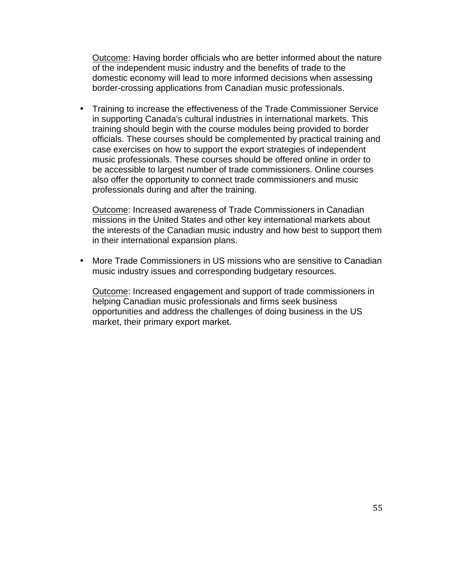Outcome: Having border officials who are better informed about the nature of the independent music industry and the benefits of trade to the domestic economy will lead to more informed decisions when assessing border-crossing applications from Canadian music professionals.

• Training to increase the effectiveness of the Trade Commissioner Service in supporting Canada's cultural industries in international markets. This training should begin with the course modules being provided to border officials. These courses should be complemented by practical training and case exercises on how to support the export strategies of independent music professionals. These courses should be offered online in order to be accessible to largest number of trade commissioners. Online courses also offer the opportunity to connect trade commissioners and music professionals during and after the training.

Outcome: Increased awareness of Trade Commissioners in Canadian missions in the United States and other key international markets about the interests of the Canadian music industry and how best to support them in their international expansion plans.

• More Trade Commissioners in US missions who are sensitive to Canadian music industry issues and corresponding budgetary resources.

Outcome: Increased engagement and support of trade commissioners in helping Canadian music professionals and firms seek business opportunities and address the challenges of doing business in the US market, their primary export market.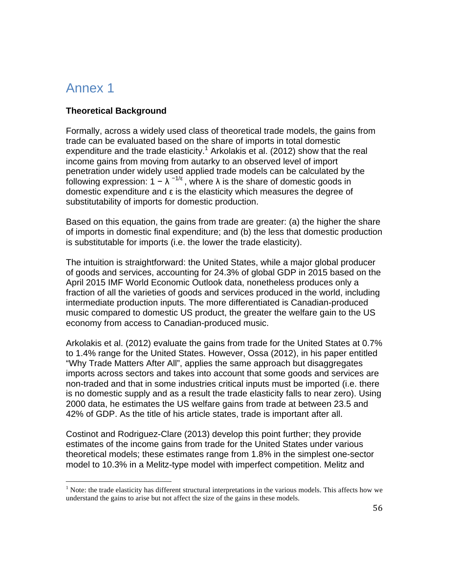# Annex 1

#### **Theoretical Background**

Formally, across a widely used class of theoretical trade models, the gains from trade can be evaluated based on the share of imports in total domestic expenditure and the trade elasticity.<sup>1</sup> Arkolakis et al. (2012) show that the real income gains from moving from autarky to an observed level of import penetration under widely used applied trade models can be calculated by the following expression:  $1 - \lambda^{-1/\epsilon}$ , where  $\lambda$  is the share of domestic goods in domestic expenditure and ε is the elasticity which measures the degree of substitutability of imports for domestic production.

Based on this equation, the gains from trade are greater: (a) the higher the share of imports in domestic final expenditure; and (b) the less that domestic production is substitutable for imports (i.e. the lower the trade elasticity).

The intuition is straightforward: the United States, while a major global producer of goods and services, accounting for 24.3% of global GDP in 2015 based on the April 2015 IMF World Economic Outlook data, nonetheless produces only a fraction of all the varieties of goods and services produced in the world, including intermediate production inputs. The more differentiated is Canadian-produced music compared to domestic US product, the greater the welfare gain to the US economy from access to Canadian-produced music.

Arkolakis et al. (2012) evaluate the gains from trade for the United States at 0.7% to 1.4% range for the United States. However, Ossa (2012), in his paper entitled "Why Trade Matters After All", applies the same approach but disaggregates imports across sectors and takes into account that some goods and services are non-traded and that in some industries critical inputs must be imported (i.e. there is no domestic supply and as a result the trade elasticity falls to near zero). Using 2000 data, he estimates the US welfare gains from trade at between 23.5 and 42% of GDP. As the title of his article states, trade is important after all.

Costinot and Rodriguez-Clare (2013) develop this point further; they provide estimates of the income gains from trade for the United States under various theoretical models; these estimates range from 1.8% in the simplest one-sector model to 10.3% in a Melitz-type model with imperfect competition. Melitz and

<sup>&</sup>lt;sup>1</sup> Note: the trade elasticity has different structural interpretations in the various models. This affects how we understand the gains to arise but not affect the size of the gains in these models.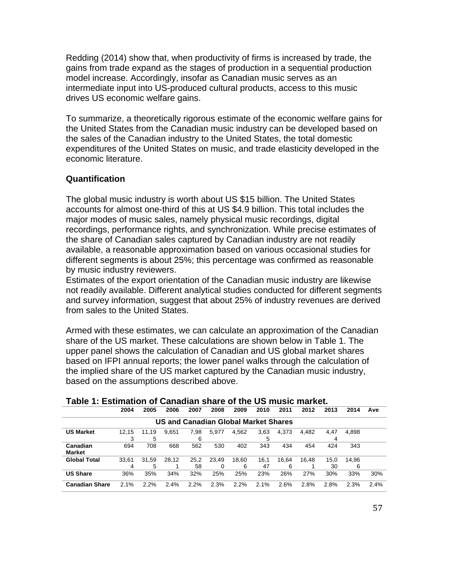Redding (2014) show that, when productivity of firms is increased by trade, the gains from trade expand as the stages of production in a sequential production model increase. Accordingly, insofar as Canadian music serves as an intermediate input into US-produced cultural products, access to this music drives US economic welfare gains.

To summarize, a theoretically rigorous estimate of the economic welfare gains for the United States from the Canadian music industry can be developed based on the sales of the Canadian industry to the United States, the total domestic expenditures of the United States on music, and trade elasticity developed in the economic literature.

#### **Quantification**

The global music industry is worth about US \$15 billion. The United States accounts for almost one-third of this at US \$4.9 billion. This total includes the major modes of music sales, namely physical music recordings, digital recordings, performance rights, and synchronization. While precise estimates of the share of Canadian sales captured by Canadian industry are not readily available, a reasonable approximation based on various occasional studies for different segments is about 25%; this percentage was confirmed as reasonable by music industry reviewers.

Estimates of the export orientation of the Canadian music industry are likewise not readily available. Different analytical studies conducted for different segments and survey information, suggest that about 25% of industry revenues are derived from sales to the United States.

Armed with these estimates, we can calculate an approximation of the Canadian share of the US market. These calculations are shown below in Table 1. The upper panel shows the calculation of Canadian and US global market shares based on IFPI annual reports; the lower panel walks through the calculation of the implied share of the US market captured by the Canadian music industry, based on the assumptions described above.

|                           | 2004       | 2005       | 2006                                 | 2007       | 2008       | 2009       | 2010       | 2011       | 2012  | 2013       | 2014       | Ave  |
|---------------------------|------------|------------|--------------------------------------|------------|------------|------------|------------|------------|-------|------------|------------|------|
|                           |            |            | US and Canadian Global Market Shares |            |            |            |            |            |       |            |            |      |
| <b>US Market</b>          | 12,15      | 11.19<br>5 | 9,651                                | 7,98<br>6  | 5,977      | 4,562      | 3,63<br>5  | 4,373      | 4.482 | 4,47<br>4  | 4,898      |      |
| Canadian<br><b>Market</b> | 694        | 708        | 668                                  | 562        | 530        | 402        | 343        | 434        | 454   | 424        | 343        |      |
| <b>Global Total</b>       | 33.61<br>4 | 31.59<br>5 | 28.12                                | 25,2<br>58 | 23.49<br>0 | 18.60<br>6 | 16.1<br>47 | 16.64<br>6 | 16.48 | 15,0<br>30 | 14.96<br>6 |      |
| <b>US Share</b>           | 36%        | 35%        | 34%                                  | 32%        | 25%        | 25%        | 23%        | 26%        | 27%   | 30%        | 33%        | 30%  |
| <b>Canadian Share</b>     | 2.1%       | 2.2%       | 2.4%                                 | 2.2%       | 2.3%       | 2.2%       | $2.1\%$    | 2.6%       | 2.8%  | 2.8%       | 2.3%       | 2.4% |

#### **Table 1: Estimation of Canadian share of the US music market.**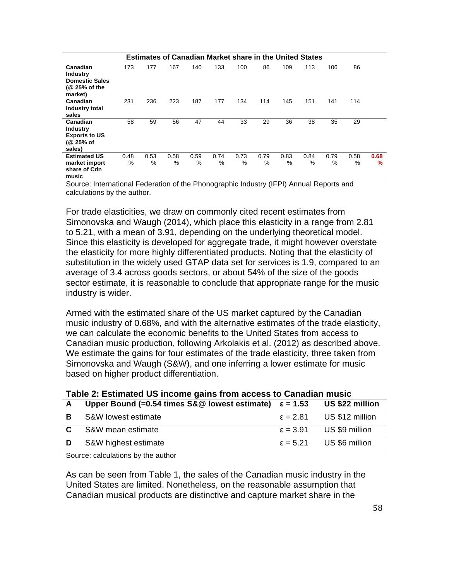|                                                                                  |           | <b>Estimates of Canadian Market share in the United States</b> |           |           |           |              |           |           |           |           |           |           |
|----------------------------------------------------------------------------------|-----------|----------------------------------------------------------------|-----------|-----------|-----------|--------------|-----------|-----------|-----------|-----------|-----------|-----------|
| Canadian<br><b>Industry</b><br><b>Domestic Sales</b><br>(@ 25% of the<br>market) | 173       | 177                                                            | 167       | 140       | 133       | 100          | 86        | 109       | 113       | 106       | 86        |           |
| Canadian<br>Industry total<br>sales                                              | 231       | 236                                                            | 223       | 187       | 177       | 134          | 114       | 145       | 151       | 141       | 114       |           |
| Canadian<br><b>Industry</b><br><b>Exports to US</b><br>(@ 25% of<br>sales)       | 58        | 59                                                             | 56        | 47        | 44        | 33           | 29        | 36        | 38        | 35        | 29        |           |
| <b>Estimated US</b><br>market import<br>share of Cdn<br>music                    | 0.48<br>% | 0.53<br>%                                                      | 0.58<br>% | 0.59<br>% | 0.74<br>% | 0.73<br>$\%$ | 0.79<br>% | 0.83<br>% | 0.84<br>% | 0.79<br>% | 0.58<br>% | 0.68<br>% |

Source: International Federation of the Phonographic Industry (IFPI) Annual Reports and calculations by the author.

For trade elasticities, we draw on commonly cited recent estimates from Simonovska and Waugh (2014), which place this elasticity in a range from 2.81 to 5.21, with a mean of 3.91, depending on the underlying theoretical model. Since this elasticity is developed for aggregate trade, it might however overstate the elasticity for more highly differentiated products. Noting that the elasticity of substitution in the widely used GTAP data set for services is 1.9, compared to an average of 3.4 across goods sectors, or about 54% of the size of the goods sector estimate, it is reasonable to conclude that appropriate range for the music industry is wider.

Armed with the estimated share of the US market captured by the Canadian music industry of 0.68%, and with the alternative estimates of the trade elasticity, we can calculate the economic benefits to the United States from access to Canadian music production, following Arkolakis et al. (2012) as described above. We estimate the gains for four estimates of the trade elasticity, three taken from Simonovska and Waugh (S&W), and one inferring a lower estimate for music based on higher product differentiation.

|              | <b>Table 2. Ediminated UO moding gams from avocso to Odnagian masiv</b> |                   |                                   |  |  |  |  |
|--------------|-------------------------------------------------------------------------|-------------------|-----------------------------------|--|--|--|--|
| $\mathbf{A}$ | Upper Bound (=0.54 times $S&@$ lowest estimate) $\varepsilon = 1.53$    |                   | US \$22 million                   |  |  |  |  |
| B.           | S&W lowest estimate                                                     |                   | $\epsilon = 2.81$ US \$12 million |  |  |  |  |
| $\mathbf{C}$ | S&W mean estimate                                                       |                   | $\epsilon = 3.91$ US \$9 million  |  |  |  |  |
| D            | S&W highest estimate                                                    | $\epsilon = 5.21$ | US \$6 million                    |  |  |  |  |

#### **Table 2: Estimated US income gains from access to Canadian music**

Source: calculations by the author

As can be seen from Table 1, the sales of the Canadian music industry in the United States are limited. Nonetheless, on the reasonable assumption that Canadian musical products are distinctive and capture market share in the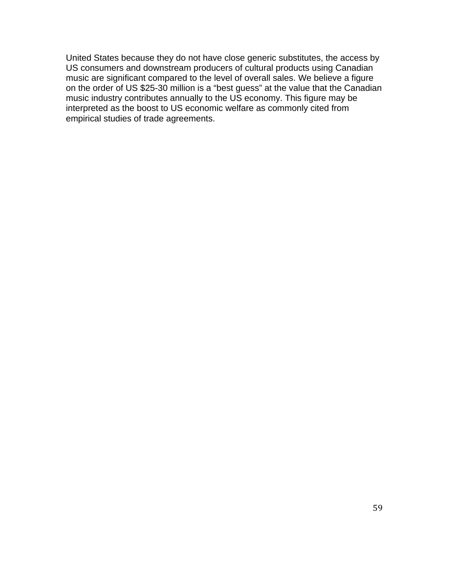United States because they do not have close generic substitutes, the access by US consumers and downstream producers of cultural products using Canadian music are significant compared to the level of overall sales. We believe a figure on the order of US \$25-30 million is a "best guess" at the value that the Canadian music industry contributes annually to the US economy. This figure may be interpreted as the boost to US economic welfare as commonly cited from empirical studies of trade agreements.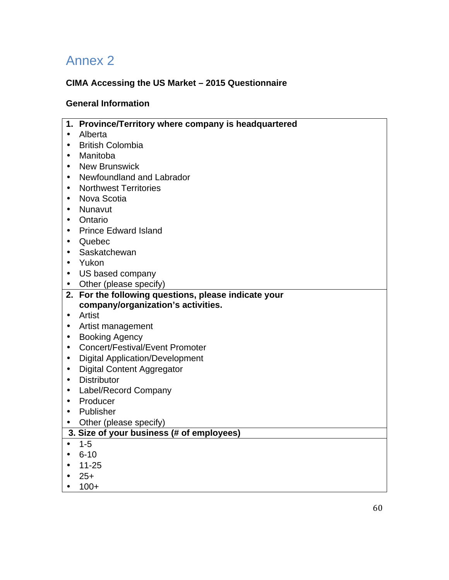# Annex 2

## **CIMA Accessing the US Market – 2015 Questionnaire**

## **General Information**

|           | 1. Province/Territory where company is headquartered |
|-----------|------------------------------------------------------|
| $\bullet$ | Alberta                                              |
| $\bullet$ | <b>British Colombia</b>                              |
| $\bullet$ | Manitoba                                             |
| $\bullet$ | <b>New Brunswick</b>                                 |
| $\bullet$ | Newfoundland and Labrador                            |
| $\bullet$ | <b>Northwest Territories</b>                         |
| $\bullet$ | Nova Scotia                                          |
| $\bullet$ | Nunavut                                              |
| $\bullet$ | Ontario                                              |
| $\bullet$ | <b>Prince Edward Island</b>                          |
| ٠         | Quebec                                               |
| $\bullet$ | Saskatchewan                                         |
| $\bullet$ | Yukon                                                |
| $\bullet$ | US based company                                     |
| $\bullet$ | Other (please specify)                               |
| 2.        | For the following questions, please indicate your    |
|           | company/organization's activities.                   |
| $\bullet$ | Artist                                               |
| $\bullet$ | Artist management                                    |
| $\bullet$ | <b>Booking Agency</b>                                |
| $\bullet$ | <b>Concert/Festival/Event Promoter</b>               |
| $\bullet$ | <b>Digital Application/Development</b>               |
| $\bullet$ | <b>Digital Content Aggregator</b>                    |
| $\bullet$ | <b>Distributor</b>                                   |
| $\bullet$ | Label/Record Company                                 |
| $\bullet$ | Producer                                             |
| $\bullet$ | Publisher                                            |
| $\bullet$ | Other (please specify)                               |
|           | 3. Size of your business (# of employees)            |
| $\bullet$ | $1 - 5$                                              |
| $\bullet$ | $6 - 10$                                             |
|           | $11 - 25$                                            |
| $\bullet$ | $25+$                                                |
| $\bullet$ | $100+$                                               |
|           |                                                      |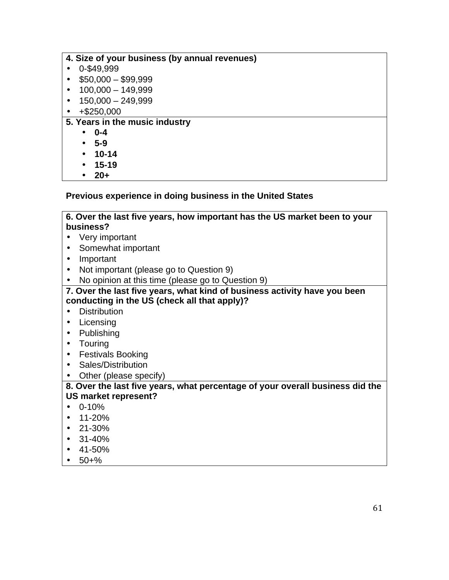| 4. Size of your business (by annual revenues) |
|-----------------------------------------------|
| 0-\$49,999                                    |
| $$50,000 - $99,999$<br>$\bullet$              |
| $100,000 - 149,999$<br>$\bullet$              |
| $150,000 - 249,999$<br>$\bullet$              |
| $+$ \$250,000<br>$\bullet$                    |
| 5. Years in the music industry                |
| $0 - 4$<br>$\bullet$                          |
| $5 - 9$<br>$\bullet$                          |
| $10 - 14$<br>$\bullet$                        |
| $15 - 19$<br>$\bullet$                        |
| $20+$<br>$\bullet$                            |

#### **Previous experience in doing business in the United States**

#### **6. Over the last five years, how important has the US market been to your business?**

- Very important
- Somewhat important
- Important
- Not important (please go to Question 9)
- No opinion at this time (please go to Question 9)

#### **7. Over the last five years, what kind of business activity have you been conducting in the US (check all that apply)?**

- Distribution
- Licensing
- Publishing
- Touring
- Festivals Booking
- Sales/Distribution
- Other (please specify)

#### **8. Over the last five years, what percentage of your overall business did the US market represent?**

- 0-10%
- $\cdot$  11-20%
- $\cdot$  21-30%
- $31 40%$
- 41-50%
- $50 + \%$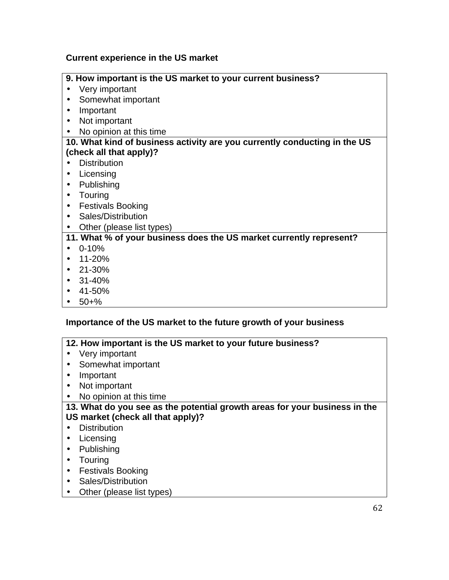## **Current experience in the US market**

| 9. How important is the US market to your current business?               |
|---------------------------------------------------------------------------|
| Very important                                                            |
| Somewhat important<br>$\bullet$                                           |
| Important                                                                 |
| Not important<br>$\bullet$                                                |
| No opinion at this time<br>$\bullet$                                      |
| 10. What kind of business activity are you currently conducting in the US |
| (check all that apply)?                                                   |
| <b>Distribution</b>                                                       |
| Licensing<br>$\bullet$                                                    |
| Publishing<br>$\bullet$                                                   |
| Touring<br>$\bullet$                                                      |
| <b>Festivals Booking</b>                                                  |
| Sales/Distribution<br>$\bullet$                                           |
| Other (please list types)<br>$\bullet$                                    |
| 11. What % of your business does the US market currently represent?       |
| $0 - 10%$                                                                 |
| 11-20%<br>$\bullet$                                                       |
| 21-30%<br>$\bullet$                                                       |
| 31-40%<br>$\bullet$                                                       |
| 41-50%<br>$\bullet$                                                       |
| $50 + \%$                                                                 |

## **Importance of the US market to the future growth of your business**

| 12. How important is the US market to your future business?                |
|----------------------------------------------------------------------------|
| Very important                                                             |
| Somewhat important                                                         |
| Important                                                                  |
| Not important                                                              |
| No opinion at this time.                                                   |
| 13. What do you see as the potential growth areas for your business in the |
| US market (check all that apply)?                                          |
| <b>Distribution</b>                                                        |
| Licensing                                                                  |
| Publishing                                                                 |
| Touring                                                                    |
| <b>Festivals Booking</b>                                                   |
| Sales/Distribution                                                         |
| Other (please list types)                                                  |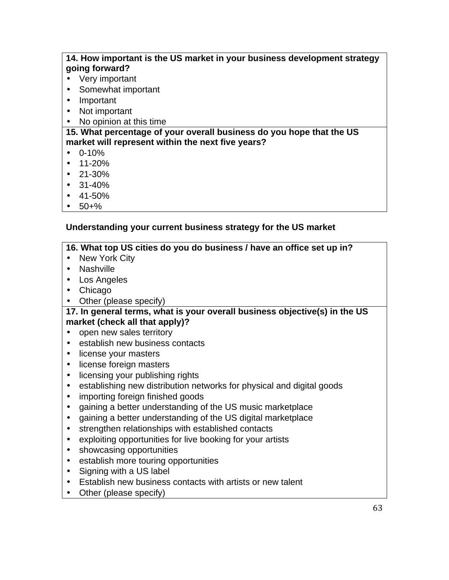## **14. How important is the US market in your business development strategy going forward?**

- Very important
- Somewhat important
- Important
- Not important
- No opinion at this time

#### **15. What percentage of your overall business do you hope that the US market will represent within the next five years?**

- $\cdot$  0-10%
- 11-20%
- $\cdot$  21-30%
- 31-40%
- 41-50%
- $\cdot$  50+%

#### **Understanding your current business strategy for the US market**

#### **16. What top US cities do you do business / have an office set up in?**

- New York City
- Nashville
- Los Angeles
- Chicago
- Other (please specify)

#### **17. In general terms, what is your overall business objective(s) in the US market (check all that apply)?**

- open new sales territory
- establish new business contacts
- license your masters
- license foreign masters
- licensing your publishing rights
- establishing new distribution networks for physical and digital goods
- importing foreign finished goods
- gaining a better understanding of the US music marketplace
- gaining a better understanding of the US digital marketplace
- strengthen relationships with established contacts
- exploiting opportunities for live booking for your artists
- showcasing opportunities
- establish more touring opportunities
- Signing with a US label
- Establish new business contacts with artists or new talent
- Other (please specify)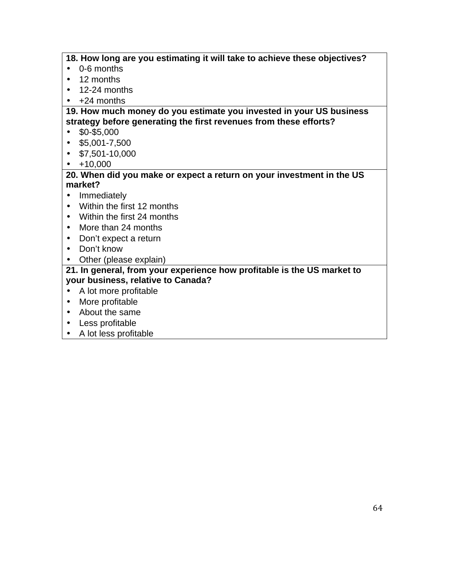**18. How long are you estimating it will take to achieve these objectives?** 

- 0-6 months
- 12 months
- $\cdot$  12-24 months
- +24 months

#### **19. How much money do you estimate you invested in your US business strategy before generating the first revenues from these efforts?**

- $\cdot$  \$0-\$5,000
- $\cdot$  \$5,001-7,500
- $\cdot$  \$7,501-10,000
- $\cdot$  +10,000

#### **20. When did you make or expect a return on your investment in the US market?**

- Immediately
- Within the first 12 months
- Within the first 24 months
- More than 24 months
- Don't expect a return
- Don't know
- Other (please explain)

#### **21. In general, from your experience how profitable is the US market to your business, relative to Canada?**

- A lot more profitable
- More profitable
- About the same
- Less profitable
- A lot less profitable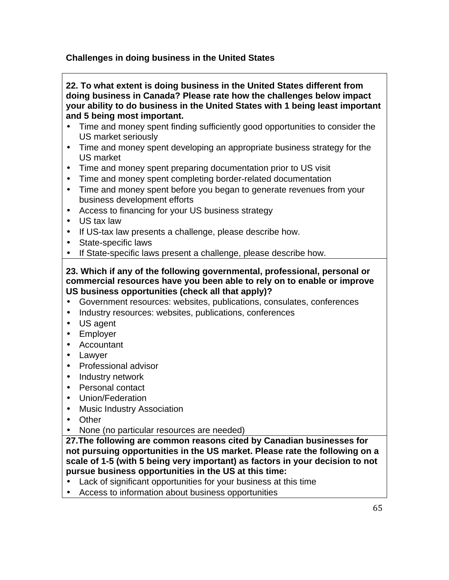## **Challenges in doing business in the United States**

|           | 22. To what extent is doing business in the United States different from<br>doing business in Canada? Please rate how the challenges below impact |
|-----------|---------------------------------------------------------------------------------------------------------------------------------------------------|
|           | your ability to do business in the United States with 1 being least important                                                                     |
|           | and 5 being most important.                                                                                                                       |
| $\bullet$ | Time and money spent finding sufficiently good opportunities to consider the                                                                      |
|           | US market seriously                                                                                                                               |
| $\bullet$ | Time and money spent developing an appropriate business strategy for the                                                                          |
|           | <b>US market</b>                                                                                                                                  |
| $\bullet$ | Time and money spent preparing documentation prior to US visit                                                                                    |
| $\bullet$ | Time and money spent completing border-related documentation                                                                                      |
| $\bullet$ | Time and money spent before you began to generate revenues from your                                                                              |
|           | business development efforts                                                                                                                      |
| $\bullet$ | Access to financing for your US business strategy                                                                                                 |
| $\bullet$ | US tax law                                                                                                                                        |
| $\bullet$ | If US-tax law presents a challenge, please describe how.                                                                                          |
| $\bullet$ | State-specific laws                                                                                                                               |
| $\bullet$ | If State-specific laws present a challenge, please describe how.                                                                                  |
|           | 23. Which if any of the following governmental, professional, personal or                                                                         |
|           | commercial resources have you been able to rely on to enable or improve                                                                           |
|           | US business opportunities (check all that apply)?                                                                                                 |
| $\bullet$ | Government resources: websites, publications, consulates, conferences                                                                             |
| $\bullet$ | Industry resources: websites, publications, conferences                                                                                           |
| $\bullet$ | US agent                                                                                                                                          |
| $\bullet$ | Employer                                                                                                                                          |
| $\bullet$ | Accountant                                                                                                                                        |
| $\bullet$ | Lawyer                                                                                                                                            |
| $\bullet$ | Professional advisor                                                                                                                              |
| $\bullet$ | Industry network                                                                                                                                  |
| $\bullet$ | <b>Personal contact</b>                                                                                                                           |
| $\bullet$ | Union/Federation                                                                                                                                  |
|           | <b>Music Industry Association</b>                                                                                                                 |
|           | Other                                                                                                                                             |
| ٠         | None (no particular resources are needed)                                                                                                         |
|           | 27. The following are common reasons cited by Canadian businesses for                                                                             |
|           | not pursuing opportunities in the US market. Please rate the following on a                                                                       |
|           | scale of 1-5 (with 5 being very important) as factors in your decision to not                                                                     |
|           | pursue business opportunities in the US at this time:                                                                                             |
|           | Lack of significant opportunities for your business at this time                                                                                  |
|           | Access to information about business opportunities                                                                                                |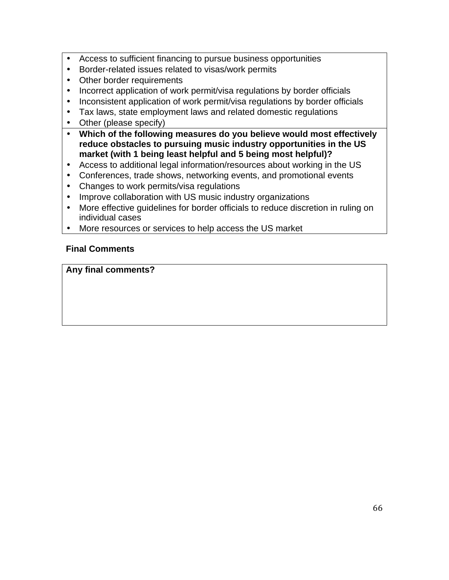- Access to sufficient financing to pursue business opportunities
- Border-related issues related to visas/work permits
- Other border requirements
- Incorrect application of work permit/visa regulations by border officials
- Inconsistent application of work permit/visa regulations by border officials
- Tax laws, state employment laws and related domestic regulations
- Other (please specify)
- **Which of the following measures do you believe would most effectively reduce obstacles to pursuing music industry opportunities in the US market (with 1 being least helpful and 5 being most helpful)?**
- Access to additional legal information/resources about working in the US
- Conferences, trade shows, networking events, and promotional events
- Changes to work permits/visa regulations
- Improve collaboration with US music industry organizations
- More effective guidelines for border officials to reduce discretion in ruling on individual cases
- More resources or services to help access the US market

#### **Final Comments**

**Any final comments?**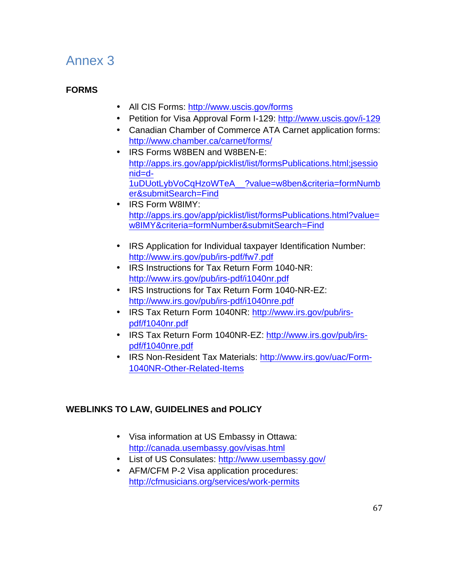# Annex 3

## **FORMS**

- All CIS Forms: http://www.uscis.gov/forms
- Petition for Visa Approval Form I-129: http://www.uscis.gov/i-129
- Canadian Chamber of Commerce ATA Carnet application forms: http://www.chamber.ca/carnet/forms/
- IRS Forms W8BEN and W8BEN-E: http://apps.irs.gov/app/picklist/list/formsPublications.html;jsessio nid=d-1uDUotLybVoCqHzoWTeA\_\_?value=w8ben&criteria=formNumb er&submitSearch=Find
- IRS Form W8IMY: http://apps.irs.gov/app/picklist/list/formsPublications.html?value= w8IMY&criteria=formNumber&submitSearch=Find
- IRS Application for Individual taxpayer Identification Number: http://www.irs.gov/pub/irs-pdf/fw7.pdf
- IRS Instructions for Tax Return Form 1040-NR: http://www.irs.gov/pub/irs-pdf/i1040nr.pdf
- IRS Instructions for Tax Return Form 1040-NR-EZ: http://www.irs.gov/pub/irs-pdf/i1040nre.pdf
- IRS Tax Return Form 1040NR: http://www.irs.gov/pub/irspdf/f1040nr.pdf
- IRS Tax Return Form 1040NR-EZ: http://www.irs.gov/pub/irspdf/f1040nre.pdf
- IRS Non-Resident Tax Materials: http://www.irs.gov/uac/Form-1040NR-Other-Related-Items

## **WEBLINKS TO LAW, GUIDELINES and POLICY**

- Visa information at US Embassy in Ottawa: http://canada.usembassy.gov/visas.html
- List of US Consulates: http://www.usembassy.gov/
- AFM/CFM P-2 Visa application procedures: http://cfmusicians.org/services/work-permits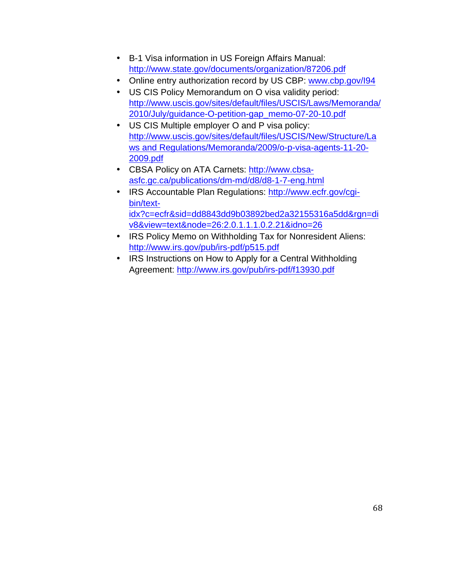- B-1 Visa information in US Foreign Affairs Manual: http://www.state.gov/documents/organization/87206.pdf
- Online entry authorization record by US CBP: www.cbp.gov/l94
- US CIS Policy Memorandum on O visa validity period: http://www.uscis.gov/sites/default/files/USCIS/Laws/Memoranda/ 2010/July/guidance-O-petition-gap\_memo-07-20-10.pdf
- US CIS Multiple employer O and P visa policy: http://www.uscis.gov/sites/default/files/USCIS/New/Structure/La ws and Regulations/Memoranda/2009/o-p-visa-agents-11-20- 2009.pdf
- CBSA Policy on ATA Carnets: http://www.cbsaasfc.gc.ca/publications/dm-md/d8/d8-1-7-eng.html
- IRS Accountable Plan Regulations: http://www.ecfr.gov/cgibin/textidx?c=ecfr&sid=dd8843dd9b03892bed2a32155316a5dd&rgn=di v8&view=text&node=26:2.0.1.1.1.0.2.21&idno=26
- IRS Policy Memo on Withholding Tax for Nonresident Aliens: http://www.irs.gov/pub/irs-pdf/p515.pdf
- IRS Instructions on How to Apply for a Central Withholding Agreement: http://www.irs.gov/pub/irs-pdf/f13930.pdf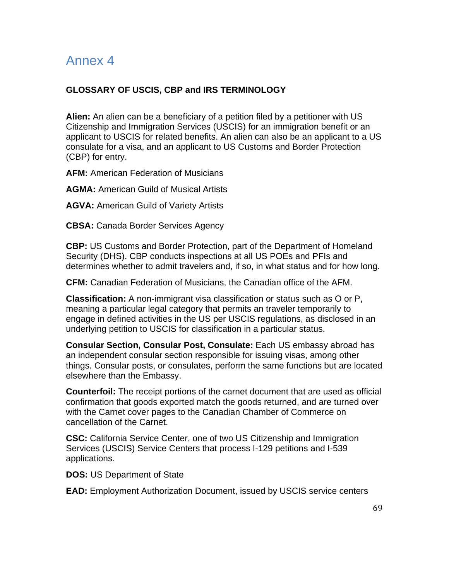# Annex 4

#### **GLOSSARY OF USCIS, CBP and IRS TERMINOLOGY**

**Alien:** An alien can be a beneficiary of a petition filed by a petitioner with US Citizenship and Immigration Services (USCIS) for an immigration benefit or an applicant to USCIS for related benefits. An alien can also be an applicant to a US consulate for a visa, and an applicant to US Customs and Border Protection (CBP) for entry.

**AFM:** American Federation of Musicians

**AGMA:** American Guild of Musical Artists

**AGVA:** American Guild of Variety Artists

**CBSA:** Canada Border Services Agency

**CBP:** US Customs and Border Protection, part of the Department of Homeland Security (DHS). CBP conducts inspections at all US POEs and PFIs and determines whether to admit travelers and, if so, in what status and for how long.

**CFM:** Canadian Federation of Musicians, the Canadian office of the AFM.

**Classification:** A non-immigrant visa classification or status such as O or P, meaning a particular legal category that permits an traveler temporarily to engage in defined activities in the US per USCIS regulations, as disclosed in an underlying petition to USCIS for classification in a particular status.

**Consular Section, Consular Post, Consulate:** Each US embassy abroad has an independent consular section responsible for issuing visas, among other things. Consular posts, or consulates, perform the same functions but are located elsewhere than the Embassy.

**Counterfoil:** The receipt portions of the carnet document that are used as official confirmation that goods exported match the goods returned, and are turned over with the Carnet cover pages to the Canadian Chamber of Commerce on cancellation of the Carnet.

**CSC:** California Service Center, one of two US Citizenship and Immigration Services (USCIS) Service Centers that process I-129 petitions and I-539 applications.

**DOS:** US Department of State

**EAD:** Employment Authorization Document, issued by USCIS service centers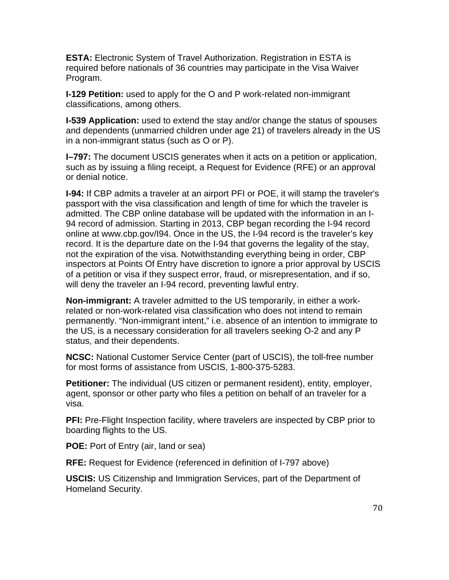**ESTA:** Electronic System of Travel Authorization. Registration in ESTA is required before nationals of 36 countries may participate in the Visa Waiver Program.

**I-129 Petition:** used to apply for the O and P work-related non-immigrant classifications, among others.

**I-539 Application:** used to extend the stay and/or change the status of spouses and dependents (unmarried children under age 21) of travelers already in the US in a non-immigrant status (such as O or P).

**I–797:** The document USCIS generates when it acts on a petition or application, such as by issuing a filing receipt, a Request for Evidence (RFE) or an approval or denial notice.

**I-94:** If CBP admits a traveler at an airport PFI or POE, it will stamp the traveler's passport with the visa classification and length of time for which the traveler is admitted. The CBP online database will be updated with the information in an I-94 record of admission. Starting in 2013, CBP began recording the I-94 record online at www.cbp.gov/I94. Once in the US, the I-94 record is the traveler's key record. It is the departure date on the I-94 that governs the legality of the stay, not the expiration of the visa. Notwithstanding everything being in order, CBP inspectors at Points Of Entry have discretion to ignore a prior approval by USCIS of a petition or visa if they suspect error, fraud, or misrepresentation, and if so, will deny the traveler an I-94 record, preventing lawful entry.

**Non-immigrant:** A traveler admitted to the US temporarily, in either a workrelated or non-work-related visa classification who does not intend to remain permanently. "Non-immigrant intent," i.e. absence of an intention to immigrate to the US, is a necessary consideration for all travelers seeking O-2 and any P status, and their dependents.

**NCSC:** National Customer Service Center (part of USCIS), the toll-free number for most forms of assistance from USCIS, 1-800-375-5283.

**Petitioner:** The individual (US citizen or permanent resident), entity, employer, agent, sponsor or other party who files a petition on behalf of an traveler for a visa.

**PFI:** Pre-Flight Inspection facility, where travelers are inspected by CBP prior to boarding flights to the US.

**POE:** Port of Entry (air, land or sea)

**RFE:** Request for Evidence (referenced in definition of I-797 above)

**USCIS:** US Citizenship and Immigration Services, part of the Department of Homeland Security.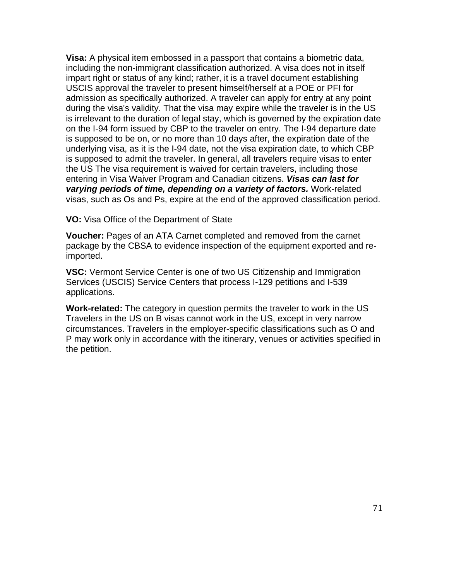**Visa:** A physical item embossed in a passport that contains a biometric data, including the non-immigrant classification authorized. A visa does not in itself impart right or status of any kind; rather, it is a travel document establishing USCIS approval the traveler to present himself/herself at a POE or PFI for admission as specifically authorized. A traveler can apply for entry at any point during the visa's validity. That the visa may expire while the traveler is in the US is irrelevant to the duration of legal stay, which is governed by the expiration date on the I-94 form issued by CBP to the traveler on entry. The I-94 departure date is supposed to be on, or no more than 10 days after, the expiration date of the underlying visa, as it is the I-94 date, not the visa expiration date, to which CBP is supposed to admit the traveler. In general, all travelers require visas to enter the US The visa requirement is waived for certain travelers, including those entering in Visa Waiver Program and Canadian citizens. *Visas can last for varying periods of time, depending on a variety of factors.* Work-related visas, such as Os and Ps, expire at the end of the approved classification period.

**VO:** Visa Office of the Department of State

**Voucher:** Pages of an ATA Carnet completed and removed from the carnet package by the CBSA to evidence inspection of the equipment exported and reimported.

**VSC:** Vermont Service Center is one of two US Citizenship and Immigration Services (USCIS) Service Centers that process I-129 petitions and I-539 applications.

**Work-related:** The category in question permits the traveler to work in the US Travelers in the US on B visas cannot work in the US, except in very narrow circumstances. Travelers in the employer-specific classifications such as O and P may work only in accordance with the itinerary, venues or activities specified in the petition.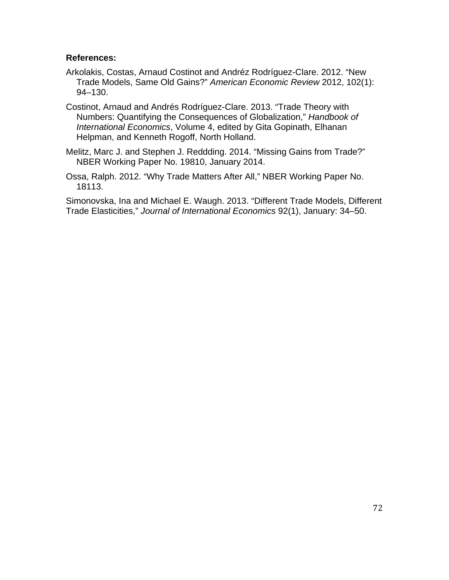## **References:**

- Arkolakis, Costas, Arnaud Costinot and Andréz Rodríguez-Clare. 2012. "New Trade Models, Same Old Gains?" *American Economic Review* 2012, 102(1): 94–130.
- Costinot, Arnaud and Andrés Rodríguez-Clare. 2013. "Trade Theory with Numbers: Quantifying the Consequences of Globalization," *Handbook of International Economics*, Volume 4, edited by Gita Gopinath, Elhanan Helpman, and Kenneth Rogoff, North Holland.

Melitz, Marc J. and Stephen J. Reddding. 2014. "Missing Gains from Trade?" NBER Working Paper No. 19810, January 2014.

Ossa, Ralph. 2012. "Why Trade Matters After All," NBER Working Paper No. 18113.

Simonovska, Ina and Michael E. Waugh. 2013. "Different Trade Models, Different Trade Elasticities," *Journal of International Economics* 92(1), January: 34–50.